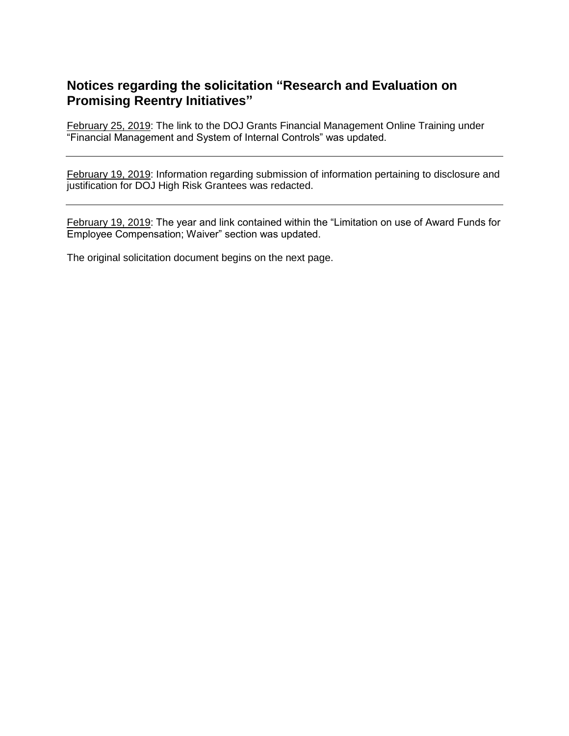# **Notices regarding the solicitation "Research and Evaluation on Promising Reentry Initiatives"**

February 25, 2019: The link to the DOJ Grants Financial Management Online Training under "Financial Management and System of Internal Controls" was updated.

February 19, 2019: Information regarding submission of information pertaining to disclosure and justification for DOJ High Risk Grantees was redacted.

February 19, 2019: The year and link contained within the "Limitation on use of Award Funds for Employee Compensation; Waiver" section was updated.

The original solicitation document begins on the next page.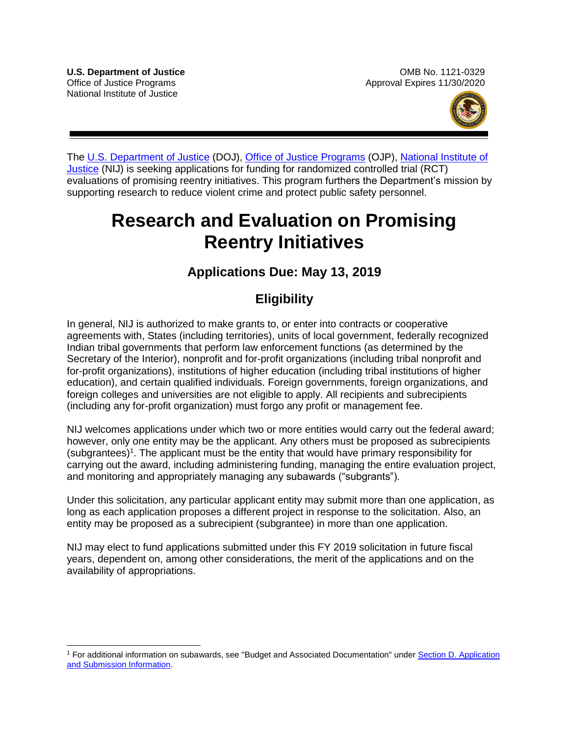$\overline{a}$ 



The [U.S. Department of Justice](https://www.usdoj.gov/) (DOJ), [Office of Justice Programs](https://www.ojp.usdoj.gov/) (OJP), [National Institute of](https://nij.gov/Pages/welcome.aspx)  [Justice](https://nij.gov/Pages/welcome.aspx) (NIJ) is seeking applications for funding for randomized controlled trial (RCT) evaluations of promising reentry initiatives. This program furthers the Department's mission by supporting research to reduce violent crime and protect public safety personnel.

# **Research and Evaluation on Promising Reentry Initiatives**

# **Applications Due: May 13, 2019**

# **Eligibility**

In general, NIJ is authorized to make grants to, or enter into contracts or cooperative agreements with, States (including territories), units of local government, federally recognized Indian tribal governments that perform law enforcement functions (as determined by the Secretary of the Interior), nonprofit and for-profit organizations (including tribal nonprofit and for-profit organizations), institutions of higher education (including tribal institutions of higher education), and certain qualified individuals. Foreign governments, foreign organizations, and foreign colleges and universities are not eligible to apply. All recipients and subrecipients (including any for-profit organization) must forgo any profit or management fee.

NIJ welcomes applications under which two or more entities would carry out the federal award; however, only one entity may be the applicant. Any others must be proposed as subrecipients  $(subgrantees)^1$ . The applicant must be the entity that would have primary responsibility for carrying out the award, including administering funding, managing the entire evaluation project, and monitoring and appropriately managing any subawards ("subgrants").

Under this solicitation, any particular applicant entity may submit more than one application, as long as each application proposes a different project in response to the solicitation. Also, an entity may be proposed as a subrecipient (subgrantee) in more than one application.

NIJ may elect to fund applications submitted under this FY 2019 solicitation in future fiscal years, dependent on, among other considerations, the merit of the applications and on the availability of appropriations.

<sup>&</sup>lt;sup>1</sup> For additional information on subawards, see "Budget and Associated Documentation" under Section D. Application [and Submission Information.](#page-14-0)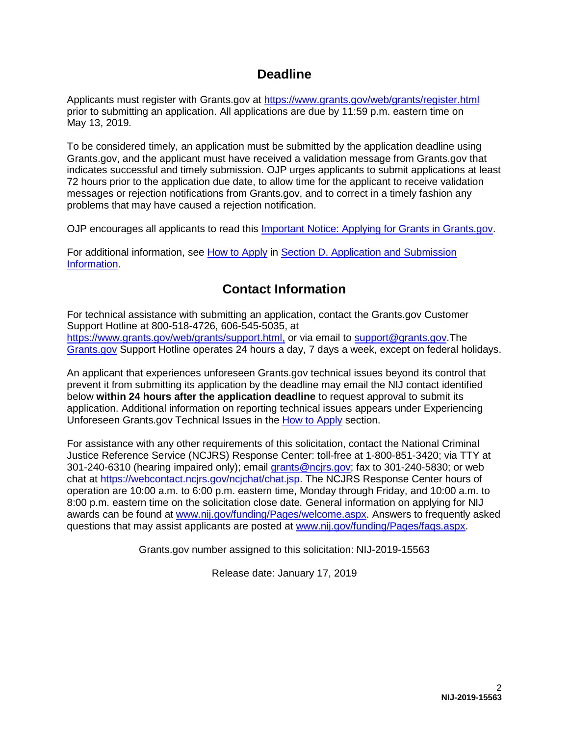# **Deadline**

Applicants must register with Grants.gov at<https://www.grants.gov/web/grants/register.html> prior to submitting an application. All applications are due by 11:59 p.m. eastern time on May 13, 2019*.*

To be considered timely, an application must be submitted by the application deadline using Grants.gov, and the applicant must have received a validation message from Grants.gov that indicates successful and timely submission. OJP urges applicants to submit applications at least 72 hours prior to the application due date, to allow time for the applicant to receive validation messages or rejection notifications from Grants.gov, and to correct in a timely fashion any problems that may have caused a rejection notification.

OJP encourages all applicants to read this [Important Notice: Applying for Grants in Grants.gov.](https://ojp.gov/funding/Apply/Grants-govInfo.htm)

For additional information, see [How to Apply](#page-29-0) in [Section D. Application and Submission](#page-14-0)  [Information.](#page-14-0)

# **Contact Information**

For technical assistance with submitting an application, contact the Grants.gov Customer Support Hotline at 800-518-4726, 606-545-5035, at [https://www.grants.gov/web/grants/support.html,](https://www.grants.gov/web/grants/support.html) or via email to [support@grants.gov.](mailto:support@grants.gov)The [Grants.gov](https://www.grants.gov/web/grants/support.html) Support Hotline operates 24 hours a day, 7 days a week, except on federal holidays.

An applicant that experiences unforeseen Grants.gov technical issues beyond its control that prevent it from submitting its application by the deadline may email the NIJ contact identified below **within 24 hours after the application deadline** to request approval to submit its application. Additional information on reporting technical issues appears under Experiencing Unforeseen Grants.gov Technical Issues in the [How to Apply](#page-29-0) section.

For assistance with any other requirements of this solicitation, contact the National Criminal Justice Reference Service (NCJRS) Response Center: toll-free at 1-800-851-3420; via TTY at 301-240-6310 (hearing impaired only); email [grants@ncjrs.gov;](mailto:grants@ncjrs.gov) fax to 301-240-5830; or web chat at [https://webcontact.ncjrs.gov/ncjchat/chat.jsp.](https://webcontact.ncjrs.gov/ncjchat/chat.jsp) The NCJRS Response Center hours of operation are 10:00 a.m. to 6:00 p.m. eastern time, Monday through Friday, and 10:00 a.m. to 8:00 p.m. eastern time on the solicitation close date*.* General information on applying for NIJ awards can be found at [www.nij.gov/funding/Pages/welcome.aspx.](http://www.nij.gov/funding/Pages/welcome.aspx) Answers to frequently asked questions that may assist applicants are posted at [www.nij.gov/funding/Pages/faqs.aspx.](http://www.nij.gov/funding/Pages/faqs.aspx)

Grants.gov number assigned to this solicitation: NIJ-2019-15563

Release date: January 17, 2019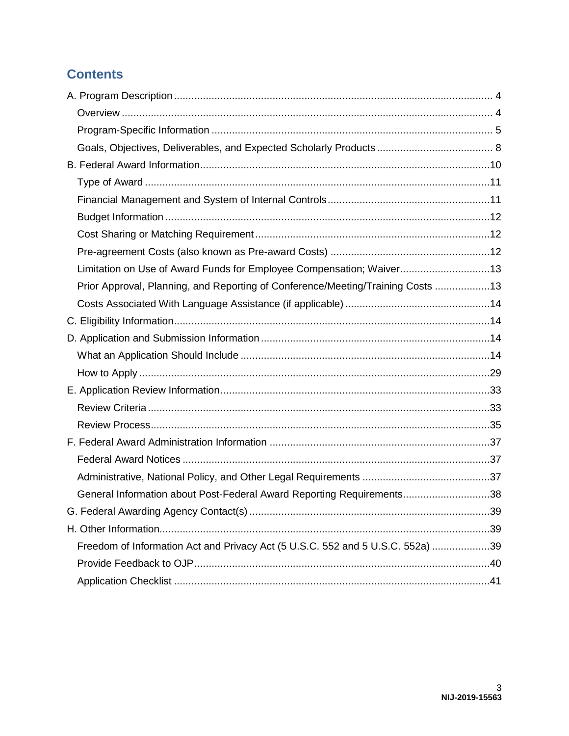# **Contents**

| Limitation on Use of Award Funds for Employee Compensation; Waiver13            |  |
|---------------------------------------------------------------------------------|--|
| Prior Approval, Planning, and Reporting of Conference/Meeting/Training Costs 13 |  |
|                                                                                 |  |
|                                                                                 |  |
|                                                                                 |  |
|                                                                                 |  |
|                                                                                 |  |
|                                                                                 |  |
|                                                                                 |  |
|                                                                                 |  |
|                                                                                 |  |
|                                                                                 |  |
|                                                                                 |  |
| General Information about Post-Federal Award Reporting Requirements38           |  |
|                                                                                 |  |
|                                                                                 |  |
| Freedom of Information Act and Privacy Act (5 U.S.C. 552 and 5 U.S.C. 552a) 39  |  |
|                                                                                 |  |
|                                                                                 |  |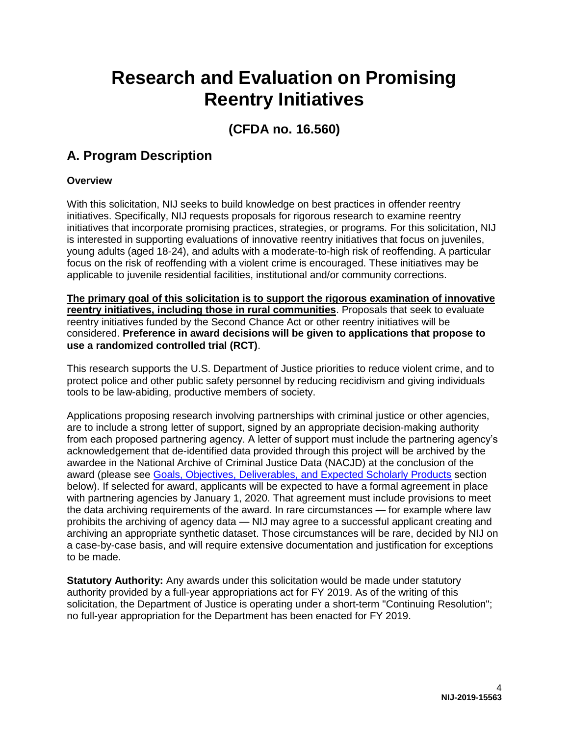# **Research and Evaluation on Promising Reentry Initiatives**

# **(CFDA no. 16.560)**

# <span id="page-4-0"></span>**A. Program Description**

# <span id="page-4-1"></span>**Overview**

With this solicitation, NIJ seeks to build knowledge on best practices in offender reentry initiatives. Specifically, NIJ requests proposals for rigorous research to examine reentry initiatives that incorporate promising practices, strategies, or programs. For this solicitation, NIJ is interested in supporting evaluations of innovative reentry initiatives that focus on juveniles, young adults (aged 18-24), and adults with a moderate-to-high risk of reoffending. A particular focus on the risk of reoffending with a violent crime is encouraged. These initiatives may be applicable to juvenile residential facilities, institutional and/or community corrections.

**The primary goal of this solicitation is to support the rigorous examination of innovative reentry initiatives, including those in rural communities**. Proposals that seek to evaluate reentry initiatives funded by the Second Chance Act or other reentry initiatives will be considered. **Preference in award decisions will be given to applications that propose to use a randomized controlled trial (RCT)**.

This research supports the U.S. Department of Justice priorities to reduce violent crime, and to protect police and other public safety personnel by reducing recidivism and giving individuals tools to be law-abiding, productive members of society.

Applications proposing research involving partnerships with criminal justice or other agencies, are to include a strong letter of support, signed by an appropriate decision-making authority from each proposed partnering agency. A letter of support must include the partnering agency's acknowledgement that de-identified data provided through this project will be archived by the awardee in the National Archive of Criminal Justice Data (NACJD) at the conclusion of the award (please see [Goals, Objectives, Deliverables, and Expected Scholarly Products](#page-8-0) section below). If selected for award, applicants will be expected to have a formal agreement in place with partnering agencies by January 1, 2020. That agreement must include provisions to meet the data archiving requirements of the award. In rare circumstances — for example where law prohibits the archiving of agency data — NIJ may agree to a successful applicant creating and archiving an appropriate synthetic dataset. Those circumstances will be rare, decided by NIJ on a case-by-case basis, and will require extensive documentation and justification for exceptions to be made.

**Statutory Authority:** Any awards under this solicitation would be made under statutory authority provided by a full-year appropriations act for FY 2019. As of the writing of this solicitation, the Department of Justice is operating under a short-term "Continuing Resolution"; no full-year appropriation for the Department has been enacted for FY 2019.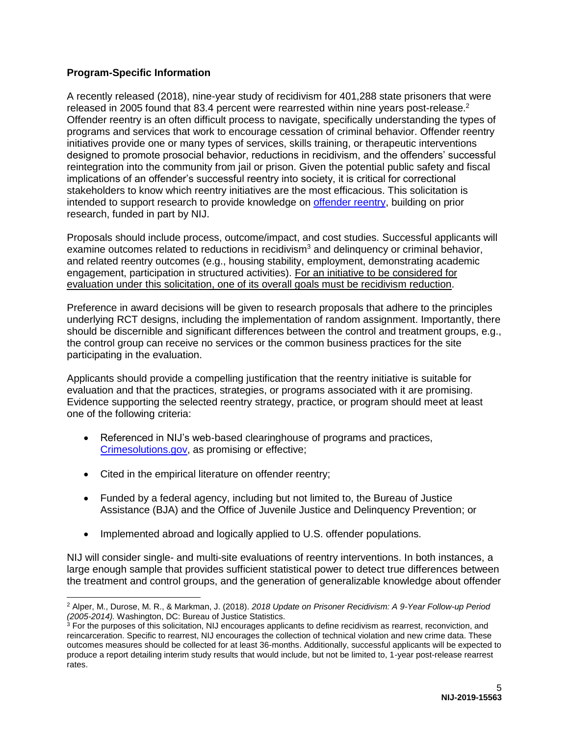# <span id="page-5-0"></span>**Program-Specific Information**

A recently released (2018), nine-year study of recidivism for 401,288 state prisoners that were released in 2005 found that 83.4 percent were rearrested within nine years post-release.<sup>2</sup> Offender reentry is an often difficult process to navigate, specifically understanding the types of programs and services that work to encourage cessation of criminal behavior. Offender reentry initiatives provide one or many types of services, skills training, or therapeutic interventions designed to promote prosocial behavior, reductions in recidivism, and the offenders' successful reintegration into the community from jail or prison. Given the potential public safety and fiscal implications of an offender's successful reentry into society, it is critical for correctional stakeholders to know which reentry initiatives are the most efficacious. This solicitation is intended to support research to provide knowledge on [offender reentry,](https://www.ncjrs.gov/pdffiles1/nij/251554.pdf) building on prior research, funded in part by NIJ.

Proposals should include process, outcome/impact, and cost studies. Successful applicants will examine outcomes related to reductions in recidivism<sup>3</sup> and delinquency or criminal behavior, and related reentry outcomes (e.g., housing stability, employment, demonstrating academic engagement, participation in structured activities). For an initiative to be considered for evaluation under this solicitation, one of its overall goals must be recidivism reduction.

Preference in award decisions will be given to research proposals that adhere to the principles underlying RCT designs, including the implementation of random assignment. Importantly, there should be discernible and significant differences between the control and treatment groups, e.g., the control group can receive no services or the common business practices for the site participating in the evaluation.

Applicants should provide a compelling justification that the reentry initiative is suitable for evaluation and that the practices, strategies, or programs associated with it are promising. Evidence supporting the selected reentry strategy, practice, or program should meet at least one of the following criteria:

- Referenced in NIJ's web-based clearinghouse of programs and practices, [Crimesolutions.gov,](https://crimesolutions.gov/) as promising or effective;
- Cited in the empirical literature on offender reentry;
- Funded by a federal agency, including but not limited to, the Bureau of Justice Assistance (BJA) and the Office of Juvenile Justice and Delinquency Prevention; or
- Implemented abroad and logically applied to U.S. offender populations.

NIJ will consider single- and multi-site evaluations of reentry interventions. In both instances, a large enough sample that provides sufficient statistical power to detect true differences between the treatment and control groups, and the generation of generalizable knowledge about offender

 $\overline{a}$ 2 Alper, M., Durose, M. R., & Markman, J. (2018). *2018 Update on Prisoner Recidivism: A 9-Year Follow-up Period (2005-2014).* Washington, DC: Bureau of Justice Statistics.<br><sup>3</sup> For the purposes of this solicitation, NIJ encourages applicants to define recidivism as rearrest, reconviction, and

reincarceration. Specific to rearrest, NIJ encourages the collection of technical violation and new crime data. These outcomes measures should be collected for at least 36-months. Additionally, successful applicants will be expected to produce a report detailing interim study results that would include, but not be limited to, 1-year post-release rearrest rates.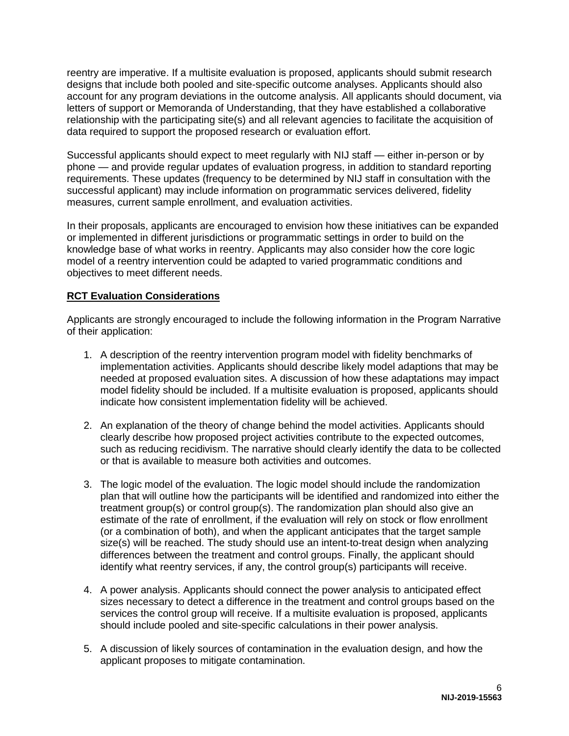reentry are imperative. If a multisite evaluation is proposed, applicants should submit research designs that include both pooled and site-specific outcome analyses. Applicants should also account for any program deviations in the outcome analysis. All applicants should document, via letters of support or Memoranda of Understanding, that they have established a collaborative relationship with the participating site(s) and all relevant agencies to facilitate the acquisition of data required to support the proposed research or evaluation effort.

Successful applicants should expect to meet regularly with NIJ staff — either in-person or by phone — and provide regular updates of evaluation progress, in addition to standard reporting requirements. These updates (frequency to be determined by NIJ staff in consultation with the successful applicant) may include information on programmatic services delivered, fidelity measures, current sample enrollment, and evaluation activities.

In their proposals, applicants are encouraged to envision how these initiatives can be expanded or implemented in different jurisdictions or programmatic settings in order to build on the knowledge base of what works in reentry. Applicants may also consider how the core logic model of a reentry intervention could be adapted to varied programmatic conditions and objectives to meet different needs.

# **RCT Evaluation Considerations**

Applicants are strongly encouraged to include the following information in the Program Narrative of their application:

- 1. A description of the reentry intervention program model with fidelity benchmarks of implementation activities. Applicants should describe likely model adaptions that may be needed at proposed evaluation sites. A discussion of how these adaptations may impact model fidelity should be included. If a multisite evaluation is proposed, applicants should indicate how consistent implementation fidelity will be achieved.
- 2. An explanation of the theory of change behind the model activities. Applicants should clearly describe how proposed project activities contribute to the expected outcomes, such as reducing recidivism. The narrative should clearly identify the data to be collected or that is available to measure both activities and outcomes.
- 3. The logic model of the evaluation. The logic model should include the randomization plan that will outline how the participants will be identified and randomized into either the treatment group(s) or control group(s). The randomization plan should also give an estimate of the rate of enrollment, if the evaluation will rely on stock or flow enrollment (or a combination of both), and when the applicant anticipates that the target sample size(s) will be reached. The study should use an intent-to-treat design when analyzing differences between the treatment and control groups. Finally, the applicant should identify what reentry services, if any, the control group(s) participants will receive.
- 4. A power analysis. Applicants should connect the power analysis to anticipated effect sizes necessary to detect a difference in the treatment and control groups based on the services the control group will receive. If a multisite evaluation is proposed, applicants should include pooled and site-specific calculations in their power analysis.
- 5. A discussion of likely sources of contamination in the evaluation design, and how the applicant proposes to mitigate contamination.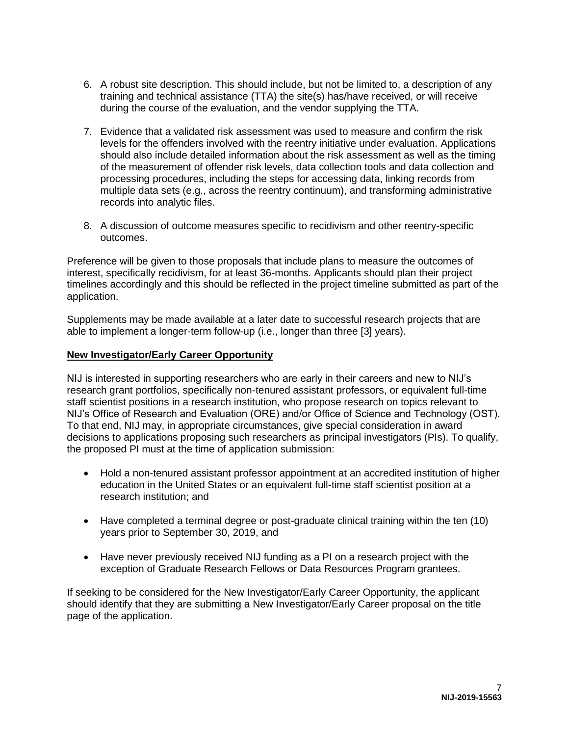- 6. A robust site description. This should include, but not be limited to, a description of any training and technical assistance (TTA) the site(s) has/have received, or will receive during the course of the evaluation, and the vendor supplying the TTA.
- 7. Evidence that a validated risk assessment was used to measure and confirm the risk levels for the offenders involved with the reentry initiative under evaluation. Applications should also include detailed information about the risk assessment as well as the timing of the measurement of offender risk levels, data collection tools and data collection and processing procedures, including the steps for accessing data, linking records from multiple data sets (e.g., across the reentry continuum), and transforming administrative records into analytic files.
- 8. A discussion of outcome measures specific to recidivism and other reentry-specific outcomes.

Preference will be given to those proposals that include plans to measure the outcomes of interest, specifically recidivism, for at least 36-months. Applicants should plan their project timelines accordingly and this should be reflected in the project timeline submitted as part of the application.

Supplements may be made available at a later date to successful research projects that are able to implement a longer-term follow-up (i.e., longer than three [3] years).

## **New Investigator/Early Career Opportunity**

NIJ is interested in supporting researchers who are early in their careers and new to NIJ's research grant portfolios, specifically non-tenured assistant professors, or equivalent full-time staff scientist positions in a research institution, who propose research on topics relevant to NIJ's Office of Research and Evaluation (ORE) and/or Office of Science and Technology (OST). To that end, NIJ may, in appropriate circumstances, give special consideration in award decisions to applications proposing such researchers as principal investigators (PIs). To qualify, the proposed PI must at the time of application submission:

- Hold a non-tenured assistant professor appointment at an accredited institution of higher education in the United States or an equivalent full-time staff scientist position at a research institution; and
- Have completed a terminal degree or post-graduate clinical training within the ten (10) years prior to September 30, 2019, and
- Have never previously received NIJ funding as a PI on a research project with the exception of Graduate Research Fellows or Data Resources Program grantees.

If seeking to be considered for the New Investigator/Early Career Opportunity, the applicant should identify that they are submitting a New Investigator/Early Career proposal on the title page of the application.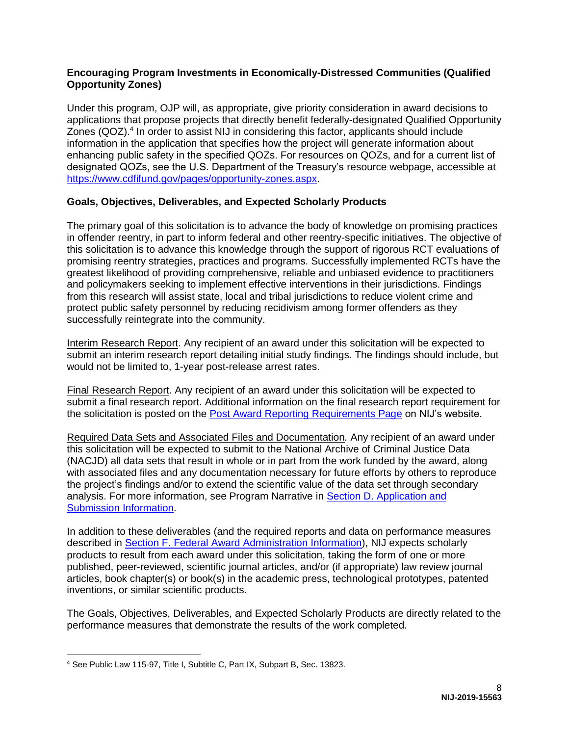## **Encouraging Program Investments in Economically-Distressed Communities (Qualified Opportunity Zones)**

Under this program, OJP will, as appropriate, give priority consideration in award decisions to applications that propose projects that directly benefit federally-designated Qualified Opportunity Zones (QOZ).<sup>4</sup> In order to assist NIJ in considering this factor, applicants should include information in the application that specifies how the project will generate information about enhancing public safety in the specified QOZs. For resources on QOZs, and for a current list of designated QOZs, see the U.S. Department of the Treasury's resource webpage, accessible at [https://www.cdfifund.gov/pages/opportunity-zones.aspx.](https://www.cdfifund.gov/pages/opportunity-zones.aspx)

# <span id="page-8-0"></span>**Goals, Objectives, Deliverables, and Expected Scholarly Products**

The primary goal of this solicitation is to advance the body of knowledge on promising practices in offender reentry, in part to inform federal and other reentry-specific initiatives. The objective of this solicitation is to advance this knowledge through the support of rigorous RCT evaluations of promising reentry strategies, practices and programs. Successfully implemented RCTs have the greatest likelihood of providing comprehensive, reliable and unbiased evidence to practitioners and policymakers seeking to implement effective interventions in their jurisdictions. Findings from this research will assist state, local and tribal jurisdictions to reduce violent crime and protect public safety personnel by reducing recidivism among former offenders as they successfully reintegrate into the community.

Interim Research Report. Any recipient of an award under this solicitation will be expected to submit an interim research report detailing initial study findings. The findings should include, but would not be limited to, 1-year post-release arrest rates.

Final Research Report. Any recipient of an award under this solicitation will be expected to submit a final research report. Additional information on the final research report requirement for the solicitation is posted on the [Post Award Reporting Requirements Page](https://www.nij.gov/funding/Pages/post-award-reporting.aspx) on NIJ's website.

Required Data Sets and Associated Files and Documentation*.* Any recipient of an award under this solicitation will be expected to submit to the National Archive of Criminal Justice Data (NACJD) all data sets that result in whole or in part from the work funded by the award, along with associated files and any documentation necessary for future efforts by others to reproduce the project's findings and/or to extend the scientific value of the data set through secondary analysis. For more information, see Program Narrative in [Section D. Application and](#page-14-0)  [Submission Information.](#page-14-0)

In addition to these deliverables (and the required reports and data on performance measures described in [Section F. Federal Award Administration Information\)](#page-37-0), NIJ expects scholarly products to result from each award under this solicitation, taking the form of one or more published, peer-reviewed, scientific journal articles, and/or (if appropriate) law review journal articles, book chapter(s) or book(s) in the academic press, technological prototypes, patented inventions, or similar scientific products.

The Goals, Objectives, Deliverables, and Expected Scholarly Products are directly related to the performance measures that demonstrate the results of the work completed.

<sup>4</sup> See Public Law 115-97, Title I, Subtitle C, Part IX, Subpart B, Sec. 13823.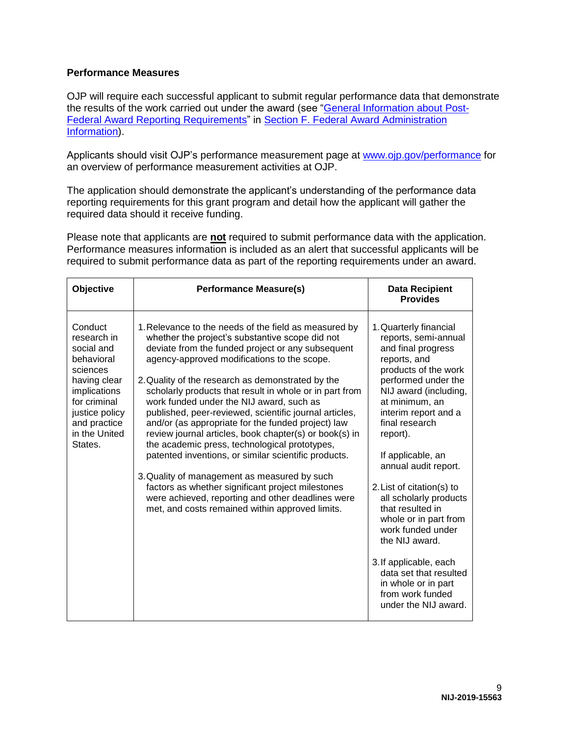### **Performance Measures**

OJP will require each successful applicant to submit regular performance data that demonstrate the results of the work carried out under the award (see ["General Information about Post-](#page-38-0)[Federal Award Reporting Requirements"](#page-38-0) in [Section F. Federal Award Administration](#page-37-0)  [Information\)](#page-37-0).

Applicants should visit OJP's performance measurement page at [www.ojp.gov/performance](https://www.ojp.gov/performance) for an overview of performance measurement activities at OJP.

The application should demonstrate the applicant's understanding of the performance data reporting requirements for this grant program and detail how the applicant will gather the required data should it receive funding.

Please note that applicants are **not** required to submit performance data with the application. Performance measures information is included as an alert that successful applicants will be required to submit performance data as part of the reporting requirements under an award.

| Objective                                                                                                                                                                    | <b>Performance Measure(s)</b>                                                                                                                                                                                                                                                                                                                                                                                                                                                                                                                                                                                                                                                                                                                                                                                                                                            | <b>Data Recipient</b><br><b>Provides</b>                                                                                                                                                                                                                                                                                                                                                                                                                                                                                                            |
|------------------------------------------------------------------------------------------------------------------------------------------------------------------------------|--------------------------------------------------------------------------------------------------------------------------------------------------------------------------------------------------------------------------------------------------------------------------------------------------------------------------------------------------------------------------------------------------------------------------------------------------------------------------------------------------------------------------------------------------------------------------------------------------------------------------------------------------------------------------------------------------------------------------------------------------------------------------------------------------------------------------------------------------------------------------|-----------------------------------------------------------------------------------------------------------------------------------------------------------------------------------------------------------------------------------------------------------------------------------------------------------------------------------------------------------------------------------------------------------------------------------------------------------------------------------------------------------------------------------------------------|
| Conduct<br>research in<br>social and<br>behavioral<br>sciences<br>having clear<br>implications<br>for criminal<br>justice policy<br>and practice<br>in the United<br>States. | 1. Relevance to the needs of the field as measured by<br>whether the project's substantive scope did not<br>deviate from the funded project or any subsequent<br>agency-approved modifications to the scope.<br>2. Quality of the research as demonstrated by the<br>scholarly products that result in whole or in part from<br>work funded under the NIJ award, such as<br>published, peer-reviewed, scientific journal articles,<br>and/or (as appropriate for the funded project) law<br>review journal articles, book chapter(s) or book(s) in<br>the academic press, technological prototypes,<br>patented inventions, or similar scientific products.<br>3. Quality of management as measured by such<br>factors as whether significant project milestones<br>were achieved, reporting and other deadlines were<br>met, and costs remained within approved limits. | 1. Quarterly financial<br>reports, semi-annual<br>and final progress<br>reports, and<br>products of the work<br>performed under the<br>NIJ award (including,<br>at minimum, an<br>interim report and a<br>final research<br>report).<br>If applicable, an<br>annual audit report.<br>2. List of citation(s) to<br>all scholarly products<br>that resulted in<br>whole or in part from<br>work funded under<br>the NIJ award.<br>3. If applicable, each<br>data set that resulted<br>in whole or in part<br>from work funded<br>under the NIJ award. |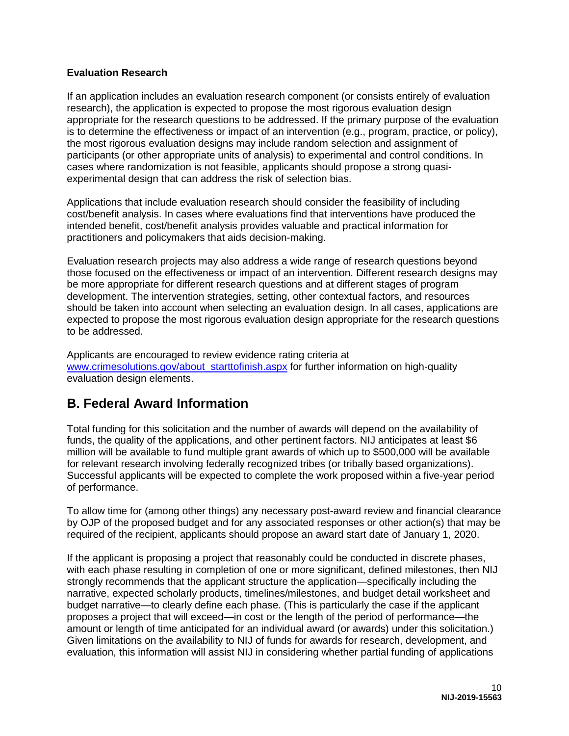## **Evaluation Research**

If an application includes an evaluation research component (or consists entirely of evaluation research), the application is expected to propose the most rigorous evaluation design appropriate for the research questions to be addressed. If the primary purpose of the evaluation is to determine the effectiveness or impact of an intervention (e.g., program, practice, or policy), the most rigorous evaluation designs may include random selection and assignment of participants (or other appropriate units of analysis) to experimental and control conditions. In cases where randomization is not feasible, applicants should propose a strong quasiexperimental design that can address the risk of selection bias.

Applications that include evaluation research should consider the feasibility of including cost/benefit analysis. In cases where evaluations find that interventions have produced the intended benefit, cost/benefit analysis provides valuable and practical information for practitioners and policymakers that aids decision-making.

Evaluation research projects may also address a wide range of research questions beyond those focused on the effectiveness or impact of an intervention. Different research designs may be more appropriate for different research questions and at different stages of program development. The intervention strategies, setting, other contextual factors, and resources should be taken into account when selecting an evaluation design. In all cases, applications are expected to propose the most rigorous evaluation design appropriate for the research questions to be addressed.

Applicants are encouraged to review evidence rating criteria at [www.crimesolutions.gov/about\\_starttofinish.aspx](http://www.crimesolutions.gov/about_starttofinish.aspx) for further information on high-quality evaluation design elements.

# <span id="page-10-0"></span>**B. Federal Award Information**

Total funding for this solicitation and the number of awards will depend on the availability of funds, the quality of the applications, and other pertinent factors. NIJ anticipates at least \$6 million will be available to fund multiple grant awards of which up to \$500,000 will be available for relevant research involving federally recognized tribes (or tribally based organizations). Successful applicants will be expected to complete the work proposed within a five-year period of performance.

To allow time for (among other things) any necessary post-award review and financial clearance by OJP of the proposed budget and for any associated responses or other action(s) that may be required of the recipient, applicants should propose an award start date of January 1, 2020.

If the applicant is proposing a project that reasonably could be conducted in discrete phases, with each phase resulting in completion of one or more significant, defined milestones, then NIJ strongly recommends that the applicant structure the application—specifically including the narrative, expected scholarly products, timelines/milestones, and budget detail worksheet and budget narrative—to clearly define each phase. (This is particularly the case if the applicant proposes a project that will exceed—in cost or the length of the period of performance—the amount or length of time anticipated for an individual award (or awards) under this solicitation.) Given limitations on the availability to NIJ of funds for awards for research, development, and evaluation, this information will assist NIJ in considering whether partial funding of applications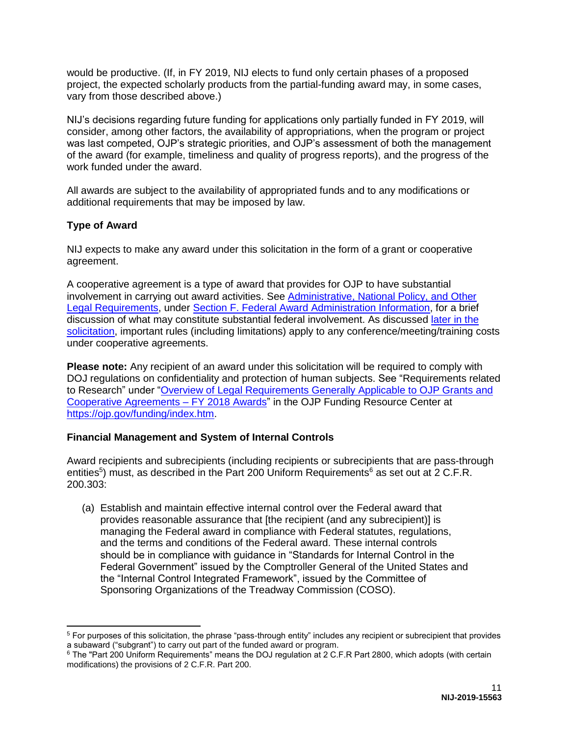would be productive. (If, in FY 2019, NIJ elects to fund only certain phases of a proposed project, the expected scholarly products from the partial-funding award may, in some cases, vary from those described above.)

NIJ's decisions regarding future funding for applications only partially funded in FY 2019, will consider, among other factors, the availability of appropriations, when the program or project was last competed, OJP's strategic priorities, and OJP's assessment of both the management of the award (for example, timeliness and quality of progress reports), and the progress of the work funded under the award.

All awards are subject to the availability of appropriated funds and to any modifications or additional requirements that may be imposed by law.

# <span id="page-11-0"></span>**Type of Award**

NIJ expects to make any award under this solicitation in the form of a grant or cooperative agreement.

A cooperative agreement is a type of award that provides for OJP to have substantial involvement in carrying out award activities. See [Administrative, National Policy, and Other](#page-37-2)  [Legal Requirements,](#page-37-2) under [Section F. Federal Award Administration Information,](#page-37-0) for a brief discussion of what may constitute substantial federal involvement. As discussed [later in the](#page-13-1)  [solicitation,](#page-13-1) important rules (including limitations) apply to any conference/meeting/training costs under cooperative agreements.

**Please note:** Any recipient of an award under this solicitation will be required to comply with DOJ regulations on confidentiality and protection of human subjects. See "Requirements related to Research" under ["Overview of Legal Requirements Generally Applicable to OJP Grants and](https://ojp.gov/funding/Explore/LegalOverview/index.htm)  [Cooperative Agreements – FY 2018 Awards"](https://ojp.gov/funding/Explore/LegalOverview/index.htm) in the OJP Funding Resource Center at [https://ojp.gov/funding/index.htm.](https://ojp.gov/funding/index.htm)

# <span id="page-11-1"></span>**Financial Management and System of Internal Controls**

Award recipients and subrecipients (including recipients or subrecipients that are pass-through entities<sup>5</sup>) must, as described in the Part 200 Uniform Requirements<sup>6</sup> as set out at 2 C.F.R. 200.303:

(a) Establish and maintain effective internal control over the Federal award that provides reasonable assurance that [the recipient (and any subrecipient)] is managing the Federal award in compliance with Federal statutes, regulations, and the terms and conditions of the Federal award. These internal controls should be in compliance with guidance in "Standards for Internal Control in the Federal Government" issued by the Comptroller General of the United States and the "Internal Control Integrated Framework", issued by the Committee of Sponsoring Organizations of the Treadway Commission (COSO).

 $\overline{a}$  $5$  For purposes of this solicitation, the phrase "pass-through entity" includes any recipient or subrecipient that provides a subaward ("subgrant") to carry out part of the funded award or program.

<sup>6</sup> The "Part 200 Uniform Requirements" means the DOJ regulation at 2 C.F.R Part 2800, which adopts (with certain modifications) the provisions of 2 C.F.R. Part 200.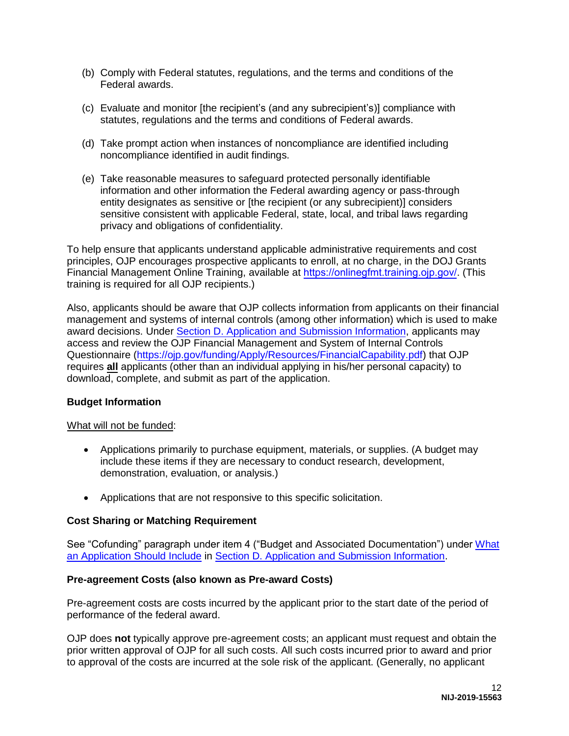- (b) Comply with Federal statutes, regulations, and the terms and conditions of the Federal awards.
- (c) Evaluate and monitor [the recipient's (and any subrecipient's)] compliance with statutes, regulations and the terms and conditions of Federal awards.
- (d) Take prompt action when instances of noncompliance are identified including noncompliance identified in audit findings.
- (e) Take reasonable measures to safeguard protected personally identifiable information and other information the Federal awarding agency or pass-through entity designates as sensitive or [the recipient (or any subrecipient)] considers sensitive consistent with applicable Federal, state, local, and tribal laws regarding privacy and obligations of confidentiality.

To help ensure that applicants understand applicable administrative requirements and cost principles, OJP encourages prospective applicants to enroll, at no charge, in the DOJ Grants Financial Management Online Training, available at <https://onlinegfmt.training.ojp.gov/>. (This training is required for all OJP recipients.)

Also, applicants should be aware that OJP collects information from applicants on their financial management and systems of internal controls (among other information) which is used to make award decisions. Under [Section D. Application and Submission Information,](#page-14-0) applicants may access and review the OJP Financial Management and System of Internal Controls Questionnaire [\(https://ojp.gov/funding/Apply/Resources/FinancialCapability.pdf\)](https://ojp.gov/funding/Apply/Resources/FinancialCapability.pdf) that OJP requires **all** applicants (other than an individual applying in his/her personal capacity) to download, complete, and submit as part of the application.

### <span id="page-12-0"></span>**Budget Information**

### What will not be funded:

- Applications primarily to purchase equipment, materials, or supplies. (A budget may include these items if they are necessary to conduct research, development, demonstration, evaluation, or analysis.)
- Applications that are not responsive to this specific solicitation.

### <span id="page-12-1"></span>**Cost Sharing or Matching Requirement**

See "Cofunding" paragraph under item 4 ("Budget and Associated Documentation") under [What](#page-14-3)  [an Application Should Include](#page-14-3) in [Section D. Application and Submission Information.](#page-14-0)

### <span id="page-12-2"></span>**Pre-agreement Costs (also known as Pre-award Costs)**

Pre-agreement costs are costs incurred by the applicant prior to the start date of the period of performance of the federal award.

OJP does **not** typically approve pre-agreement costs; an applicant must request and obtain the prior written approval of OJP for all such costs. All such costs incurred prior to award and prior to approval of the costs are incurred at the sole risk of the applicant. (Generally, no applicant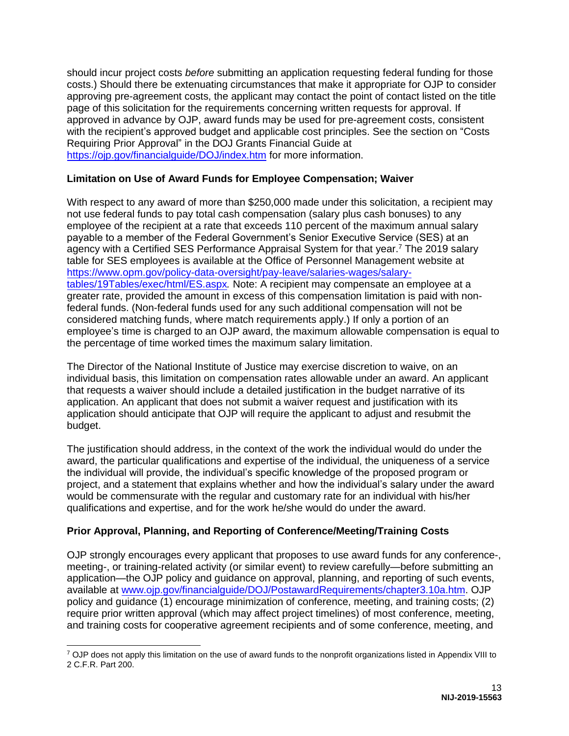should incur project costs *before* submitting an application requesting federal funding for those costs.) Should there be extenuating circumstances that make it appropriate for OJP to consider approving pre-agreement costs, the applicant may contact the point of contact listed on the title page of this solicitation for the requirements concerning written requests for approval. If approved in advance by OJP, award funds may be used for pre-agreement costs, consistent with the recipient's approved budget and applicable cost principles. See the section on "Costs Requiring Prior Approval" in the DOJ Grants Financial Guide at <https://ojp.gov/financialguide/DOJ/index.htm> for more information.

# <span id="page-13-0"></span>**Limitation on Use of Award Funds for Employee Compensation; Waiver**

With respect to any award of more than \$250,000 made under this solicitation, a recipient may not use federal funds to pay total cash compensation (salary plus cash bonuses) to any employee of the recipient at a rate that exceeds 110 percent of the maximum annual salary payable to a member of the Federal Government's Senior Executive Service (SES) at an agency with a Certified SES Performance Appraisal System for that year.<sup>7</sup> The 2019 salary table for SES employees is available at the Office of Personnel Management website at [https://www.opm.gov/policy-data-oversight/pay-leave/salaries-wages/salary](https://www.opm.gov/policy-data-oversight/pay-leave/salaries-wages/salary-tables/19Tables/exec/html/ES.aspx)tables/19[Tables/exec/html/ES.aspx](https://www.opm.gov/policy-data-oversight/pay-leave/salaries-wages/salary-tables/19Tables/exec/html/ES.aspx)*.* Note: A recipient may compensate an employee at a greater rate, provided the amount in excess of this compensation limitation is paid with nonfederal funds. (Non-federal funds used for any such additional compensation will not be considered matching funds, where match requirements apply.) If only a portion of an employee's time is charged to an OJP award, the maximum allowable compensation is equal to the percentage of time worked times the maximum salary limitation.

The Director of the National Institute of Justice may exercise discretion to waive, on an individual basis, this limitation on compensation rates allowable under an award. An applicant that requests a waiver should include a detailed justification in the budget narrative of its application. An applicant that does not submit a waiver request and justification with its application should anticipate that OJP will require the applicant to adjust and resubmit the budget.

The justification should address, in the context of the work the individual would do under the award, the particular qualifications and expertise of the individual, the uniqueness of a service the individual will provide, the individual's specific knowledge of the proposed program or project, and a statement that explains whether and how the individual's salary under the award would be commensurate with the regular and customary rate for an individual with his/her qualifications and expertise, and for the work he/she would do under the award.

# <span id="page-13-1"></span>**Prior Approval, Planning, and Reporting of Conference/Meeting/Training Costs**

OJP strongly encourages every applicant that proposes to use award funds for any conference-, meeting-, or training-related activity (or similar event) to review carefully—before submitting an application—the OJP policy and guidance on approval, planning, and reporting of such events, available at [www.ojp.gov/financialguide/DOJ/PostawardRequirements/chapter3.10a.htm.](https://ojp.gov/financialguide/DOJ/PostawardRequirements/chapter3.10a.htm) OJP policy and guidance (1) encourage minimization of conference, meeting, and training costs; (2) require prior written approval (which may affect project timelines) of most conference, meeting, and training costs for cooperative agreement recipients and of some conference, meeting, and

<sup>&</sup>lt;sup>7</sup> OJP does not apply this limitation on the use of award funds to the nonprofit organizations listed in Appendix VIII to 2 C.F.R. Part 200.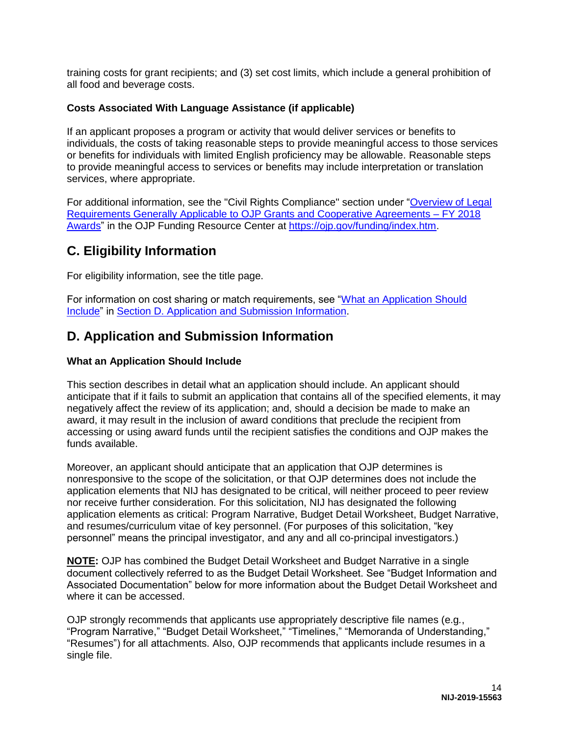training costs for grant recipients; and (3) set cost limits, which include a general prohibition of all food and beverage costs.

# <span id="page-14-1"></span>**Costs Associated With Language Assistance (if applicable)**

If an applicant proposes a program or activity that would deliver services or benefits to individuals, the costs of taking reasonable steps to provide meaningful access to those services or benefits for individuals with limited English proficiency may be allowable. Reasonable steps to provide meaningful access to services or benefits may include interpretation or translation services, where appropriate.

For additional information, see the "Civil Rights Compliance" section under ["Overview of Legal](https://ojp.gov/funding/Explore/LegalOverview/index.htm)  [Requirements Generally Applicable to OJP Grants and Cooperative Agreements – FY 2018](https://ojp.gov/funding/Explore/LegalOverview/index.htm)  [Awards"](https://ojp.gov/funding/Explore/LegalOverview/index.htm) in the OJP Funding Resource Center at [https://ojp.gov/funding/index.htm.](https://ojp.gov/funding/index.htm)

# <span id="page-14-2"></span>**C. Eligibility Information**

For eligibility information, see the title page.

For information on cost sharing or match requirements, see ["What an Application Should](#page-14-3)  [Include"](#page-14-3) in [Section D. Application and Submission Information.](#page-14-0)

# <span id="page-14-0"></span>**D. Application and Submission Information**

## <span id="page-14-3"></span>**What an Application Should Include**

This section describes in detail what an application should include. An applicant should anticipate that if it fails to submit an application that contains all of the specified elements, it may negatively affect the review of its application; and, should a decision be made to make an award, it may result in the inclusion of award conditions that preclude the recipient from accessing or using award funds until the recipient satisfies the conditions and OJP makes the funds available.

Moreover, an applicant should anticipate that an application that OJP determines is nonresponsive to the scope of the solicitation, or that OJP determines does not include the application elements that NIJ has designated to be critical, will neither proceed to peer review nor receive further consideration. For this solicitation, NIJ has designated the following application elements as critical: Program Narrative, Budget Detail Worksheet, Budget Narrative, and resumes/curriculum vitae of key personnel. (For purposes of this solicitation, "key personnel" means the principal investigator, and any and all co-principal investigators.)

**NOTE:** OJP has combined the Budget Detail Worksheet and Budget Narrative in a single document collectively referred to as the Budget Detail Worksheet. See "Budget Information and Associated Documentation" below for more information about the Budget Detail Worksheet and where it can be accessed.

OJP strongly recommends that applicants use appropriately descriptive file names (e.g*.*, "Program Narrative," "Budget Detail Worksheet," "Timelines," "Memoranda of Understanding," "Resumes") for all attachments. Also, OJP recommends that applicants include resumes in a single file.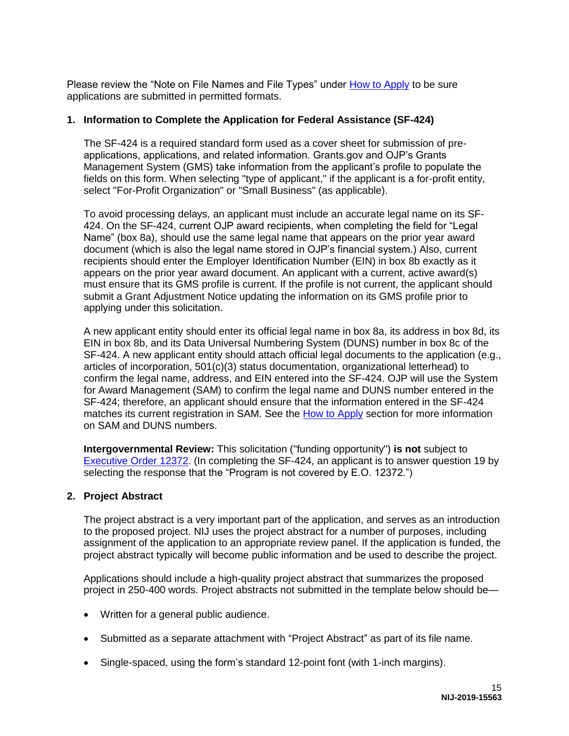Please review the "Note on File Names and File Types" under [How to Apply](#page-29-0) to be sure applications are submitted in permitted formats.

## **1. Information to Complete the Application for Federal Assistance (SF-424)**

The SF-424 is a required standard form used as a cover sheet for submission of preapplications, applications, and related information. Grants.gov and OJP's Grants Management System (GMS) take information from the applicant's profile to populate the fields on this form. When selecting "type of applicant," if the applicant is a for-profit entity, select "For-Profit Organization" or "Small Business" (as applicable).

To avoid processing delays, an applicant must include an accurate legal name on its SF-424. On the SF-424, current OJP award recipients, when completing the field for "Legal Name" (box 8a), should use the same legal name that appears on the prior year award document (which is also the legal name stored in OJP's financial system.) Also, current recipients should enter the Employer Identification Number (EIN) in box 8b exactly as it appears on the prior year award document. An applicant with a current, active award(s) must ensure that its GMS profile is current. If the profile is not current, the applicant should submit a Grant Adjustment Notice updating the information on its GMS profile prior to applying under this solicitation.

A new applicant entity should enter its official legal name in box 8a, its address in box 8d, its EIN in box 8b, and its Data Universal Numbering System (DUNS) number in box 8c of the SF-424. A new applicant entity should attach official legal documents to the application (e.g., articles of incorporation, 501(c)(3) status documentation, organizational letterhead) to confirm the legal name, address, and EIN entered into the SF-424. OJP will use the System for Award Management (SAM) to confirm the legal name and DUNS number entered in the SF-424; therefore, an applicant should ensure that the information entered in the SF-424 matches its current registration in SAM. See the [How to Apply](#page-29-0) section for more information on SAM and DUNS numbers.

**Intergovernmental Review:** This solicitation ("funding opportunity") **is not** subject to [Executive Order 12372.](https://www.archives.gov/federal-register/codification/executive-order/12372.html) (In completing the SF-424, an applicant is to answer question 19 by selecting the response that the "Program is not covered by E.O. 12372.")

### **2. Project Abstract**

The project abstract is a very important part of the application, and serves as an introduction to the proposed project. NIJ uses the project abstract for a number of purposes, including assignment of the application to an appropriate review panel. If the application is funded, the project abstract typically will become public information and be used to describe the project.

Applications should include a high-quality project abstract that summarizes the proposed project in 250-400 words. Project abstracts not submitted in the template below should be—

- Written for a general public audience.
- Submitted as a separate attachment with "Project Abstract" as part of its file name.
- Single-spaced, using the form's standard 12-point font (with 1-inch margins).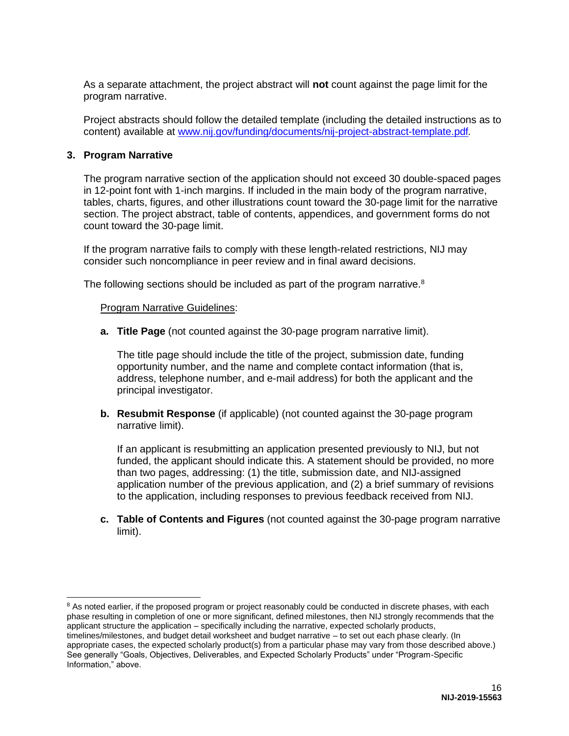As a separate attachment, the project abstract will **not** count against the page limit for the program narrative.

Project abstracts should follow the detailed template (including the detailed instructions as to content) available at [www.nij.gov/funding/documents/nij-project-abstract-template.pdf](https://nij.gov/funding/documents/nij-project-abstract-template.pdf)*.* 

#### **3. Program Narrative**

 $\overline{a}$ 

The program narrative section of the application should not exceed 30 double-spaced pages in 12-point font with 1-inch margins. If included in the main body of the program narrative, tables, charts, figures, and other illustrations count toward the 30-page limit for the narrative section. The project abstract, table of contents, appendices, and government forms do not count toward the 30-page limit.

If the program narrative fails to comply with these length-related restrictions, NIJ may consider such noncompliance in peer review and in final award decisions.

The following sections should be included as part of the program narrative.<sup>8</sup>

#### **Program Narrative Guidelines:**

**a. Title Page** (not counted against the 30-page program narrative limit).

The title page should include the title of the project, submission date, funding opportunity number, and the name and complete contact information (that is, address, telephone number, and e-mail address) for both the applicant and the principal investigator.

**b. Resubmit Response** (if applicable) (not counted against the 30-page program narrative limit).

If an applicant is resubmitting an application presented previously to NIJ, but not funded, the applicant should indicate this. A statement should be provided, no more than two pages, addressing: (1) the title, submission date, and NIJ-assigned application number of the previous application, and (2) a brief summary of revisions to the application, including responses to previous feedback received from NIJ.

**c. Table of Contents and Figures** (not counted against the 30-page program narrative limit).

<sup>&</sup>lt;sup>8</sup> As noted earlier, if the proposed program or project reasonably could be conducted in discrete phases, with each phase resulting in completion of one or more significant, defined milestones, then NIJ strongly recommends that the applicant structure the application – specifically including the narrative, expected scholarly products, timelines/milestones, and budget detail worksheet and budget narrative – to set out each phase clearly. (In appropriate cases, the expected scholarly product(s) from a particular phase may vary from those described above.) See generally "Goals, Objectives, Deliverables, and Expected Scholarly Products" under "Program-Specific Information," above.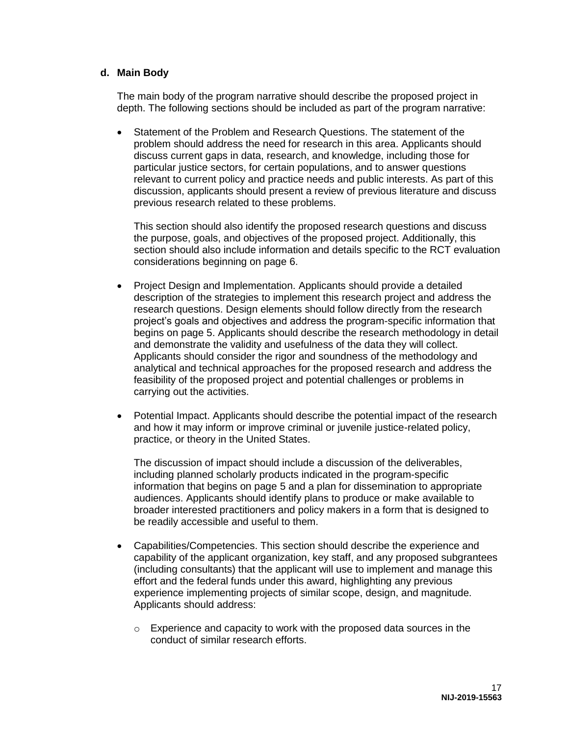#### **d. Main Body**

The main body of the program narrative should describe the proposed project in depth. The following sections should be included as part of the program narrative:

 Statement of the Problem and Research Questions. The statement of the problem should address the need for research in this area. Applicants should discuss current gaps in data, research, and knowledge, including those for particular justice sectors, for certain populations, and to answer questions relevant to current policy and practice needs and public interests. As part of this discussion, applicants should present a review of previous literature and discuss previous research related to these problems.

This section should also identify the proposed research questions and discuss the purpose, goals, and objectives of the proposed project. Additionally, this section should also include information and details specific to the RCT evaluation considerations beginning on page 6.

- Project Design and Implementation. Applicants should provide a detailed description of the strategies to implement this research project and address the research questions. Design elements should follow directly from the research project's goals and objectives and address the program-specific information that begins on page 5. Applicants should describe the research methodology in detail and demonstrate the validity and usefulness of the data they will collect. Applicants should consider the rigor and soundness of the methodology and analytical and technical approaches for the proposed research and address the feasibility of the proposed project and potential challenges or problems in carrying out the activities.
- Potential Impact. Applicants should describe the potential impact of the research and how it may inform or improve criminal or juvenile justice-related policy, practice, or theory in the United States.

The discussion of impact should include a discussion of the deliverables, including planned scholarly products indicated in the program-specific information that begins on page 5 and a plan for dissemination to appropriate audiences. Applicants should identify plans to produce or make available to broader interested practitioners and policy makers in a form that is designed to be readily accessible and useful to them.

- Capabilities/Competencies. This section should describe the experience and capability of the applicant organization, key staff, and any proposed subgrantees (including consultants) that the applicant will use to implement and manage this effort and the federal funds under this award, highlighting any previous experience implementing projects of similar scope, design, and magnitude. Applicants should address:
	- o Experience and capacity to work with the proposed data sources in the conduct of similar research efforts.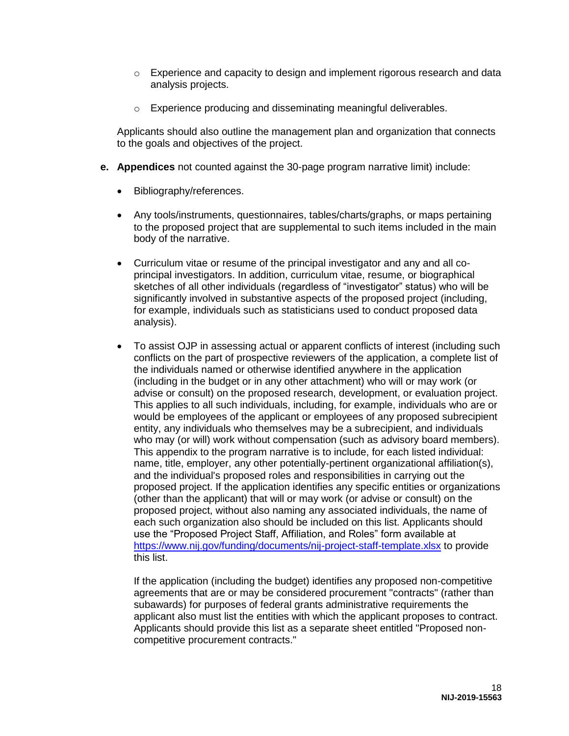- $\circ$  Experience and capacity to design and implement rigorous research and data analysis projects.
- o Experience producing and disseminating meaningful deliverables.

Applicants should also outline the management plan and organization that connects to the goals and objectives of the project.

- **e. Appendices** not counted against the 30-page program narrative limit) include:
	- Bibliography/references.
	- Any tools/instruments, questionnaires, tables/charts/graphs, or maps pertaining to the proposed project that are supplemental to such items included in the main body of the narrative.
	- Curriculum vitae or resume of the principal investigator and any and all coprincipal investigators. In addition, curriculum vitae, resume, or biographical sketches of all other individuals (regardless of "investigator" status) who will be significantly involved in substantive aspects of the proposed project (including, for example, individuals such as statisticians used to conduct proposed data analysis).
	- To assist OJP in assessing actual or apparent conflicts of interest (including such conflicts on the part of prospective reviewers of the application, a complete list of the individuals named or otherwise identified anywhere in the application (including in the budget or in any other attachment) who will or may work (or advise or consult) on the proposed research, development, or evaluation project. This applies to all such individuals, including, for example, individuals who are or would be employees of the applicant or employees of any proposed subrecipient entity, any individuals who themselves may be a subrecipient, and individuals who may (or will) work without compensation (such as advisory board members). This appendix to the program narrative is to include, for each listed individual: name, title, employer, any other potentially-pertinent organizational affiliation(s), and the individual's proposed roles and responsibilities in carrying out the proposed project. If the application identifies any specific entities or organizations (other than the applicant) that will or may work (or advise or consult) on the proposed project, without also naming any associated individuals, the name of each such organization also should be included on this list. Applicants should use the "Proposed Project Staff, Affiliation, and Roles" form available at <https://www.nij.gov/funding/documents/nij-project-staff-template.xlsx>to provide this list.

If the application (including the budget) identifies any proposed non-competitive agreements that are or may be considered procurement "contracts" (rather than subawards) for purposes of federal grants administrative requirements the applicant also must list the entities with which the applicant proposes to contract. Applicants should provide this list as a separate sheet entitled "Proposed noncompetitive procurement contracts."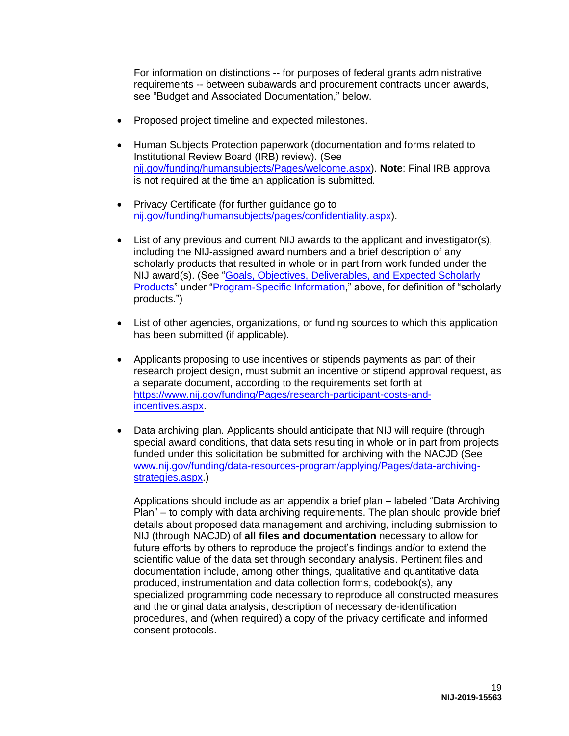For information on distinctions -- for purposes of federal grants administrative requirements -- between subawards and procurement contracts under awards, see "Budget and Associated Documentation," below.

- Proposed project timeline and expected milestones.
- Human Subjects Protection paperwork (documentation and forms related to Institutional Review Board (IRB) review). (See [nij.gov/funding/humansubjects/Pages/welcome.aspx\)](https://nij.gov/funding/humansubjects/Pages/welcome.aspx). **Note**: Final IRB approval is not required at the time an application is submitted.
- Privacy Certificate (for further guidance go to [nij.gov/funding/humansubjects/pages/confidentiality.aspx\)](https://nij.gov/funding/humansubjects/pages/confidentiality.aspx).
- List of any previous and current NIJ awards to the applicant and investigator(s), including the NIJ-assigned award numbers and a brief description of any scholarly products that resulted in whole or in part from work funded under the NIJ award(s). (See ["Goals, Objectives, Deliverables, and Expected Scholarly](#page-8-0)  [Products"](#page-8-0) under ["Program-Specific Information,](#page-5-0)" above, for definition of "scholarly products.")
- List of other agencies, organizations, or funding sources to which this application has been submitted (if applicable).
- Applicants proposing to use incentives or stipends payments as part of their research project design, must submit an incentive or stipend approval request, as a separate document, according to the requirements set forth at [https://www.nij.gov/funding/Pages/research-participant-costs-and](https://www.nij.gov/funding/Pages/research-participant-costs-and-incentives.aspx)[incentives.aspx.](https://www.nij.gov/funding/Pages/research-participant-costs-and-incentives.aspx)
- Data archiving plan. Applicants should anticipate that NIJ will require (through special award conditions, that data sets resulting in whole or in part from projects funded under this solicitation be submitted for archiving with the NACJD (See [www.nij.gov/funding/data-resources-program/applying/Pages/data-archiving](http://www.nij.gov/funding/data-resources-program/applying/Pages/data-archiving-strategies.aspx)[strategies.aspx.](http://www.nij.gov/funding/data-resources-program/applying/Pages/data-archiving-strategies.aspx))

Applications should include as an appendix a brief plan – labeled "Data Archiving Plan" – to comply with data archiving requirements. The plan should provide brief details about proposed data management and archiving, including submission to NIJ (through NACJD) of **all files and documentation** necessary to allow for future efforts by others to reproduce the project's findings and/or to extend the scientific value of the data set through secondary analysis. Pertinent files and documentation include, among other things, qualitative and quantitative data produced, instrumentation and data collection forms, codebook(s), any specialized programming code necessary to reproduce all constructed measures and the original data analysis, description of necessary de-identification procedures, and (when required) a copy of the privacy certificate and informed consent protocols.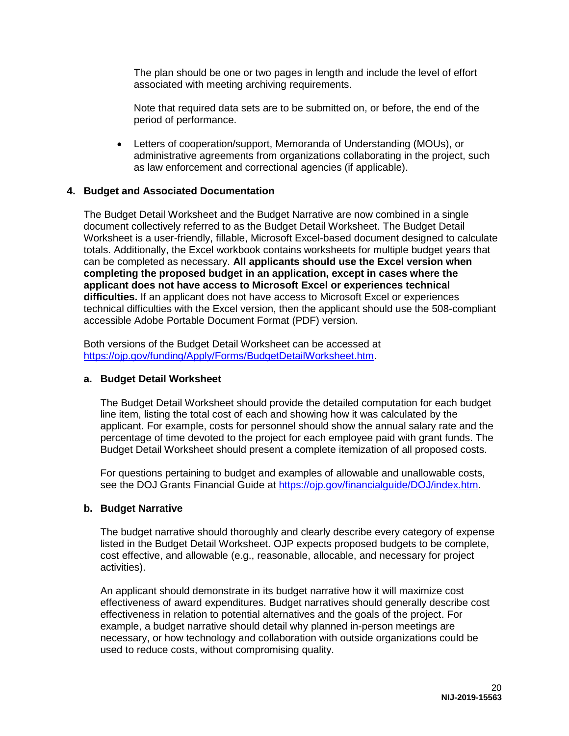The plan should be one or two pages in length and include the level of effort associated with meeting archiving requirements.

Note that required data sets are to be submitted on, or before, the end of the period of performance.

 Letters of cooperation/support, Memoranda of Understanding (MOUs), or administrative agreements from organizations collaborating in the project, such as law enforcement and correctional agencies (if applicable).

#### **4. Budget and Associated Documentation**

The Budget Detail Worksheet and the Budget Narrative are now combined in a single document collectively referred to as the Budget Detail Worksheet. The Budget Detail Worksheet is a user-friendly, fillable, Microsoft Excel-based document designed to calculate totals. Additionally, the Excel workbook contains worksheets for multiple budget years that can be completed as necessary. **All applicants should use the Excel version when completing the proposed budget in an application, except in cases where the applicant does not have access to Microsoft Excel or experiences technical difficulties.** If an applicant does not have access to Microsoft Excel or experiences technical difficulties with the Excel version, then the applicant should use the 508-compliant accessible Adobe Portable Document Format (PDF) version.

Both versions of the Budget Detail Worksheet can be accessed at [https://ojp.gov/funding/Apply/Forms/BudgetDetailWorksheet.htm.](https://ojp.gov/funding/Apply/Forms/BudgetDetailWorksheet.htm)

#### **a. Budget Detail Worksheet**

The Budget Detail Worksheet should provide the detailed computation for each budget line item, listing the total cost of each and showing how it was calculated by the applicant. For example, costs for personnel should show the annual salary rate and the percentage of time devoted to the project for each employee paid with grant funds. The Budget Detail Worksheet should present a complete itemization of all proposed costs.

For questions pertaining to budget and examples of allowable and unallowable costs, see the DOJ Grants Financial Guide at [https://ojp.gov/financialguide/DOJ/index.htm.](https://ojp.gov/financialguide/DOJ/index.htm)

### **b. Budget Narrative**

The budget narrative should thoroughly and clearly describe every category of expense listed in the Budget Detail Worksheet. OJP expects proposed budgets to be complete, cost effective, and allowable (e.g., reasonable, allocable, and necessary for project activities).

An applicant should demonstrate in its budget narrative how it will maximize cost effectiveness of award expenditures. Budget narratives should generally describe cost effectiveness in relation to potential alternatives and the goals of the project. For example, a budget narrative should detail why planned in-person meetings are necessary, or how technology and collaboration with outside organizations could be used to reduce costs, without compromising quality.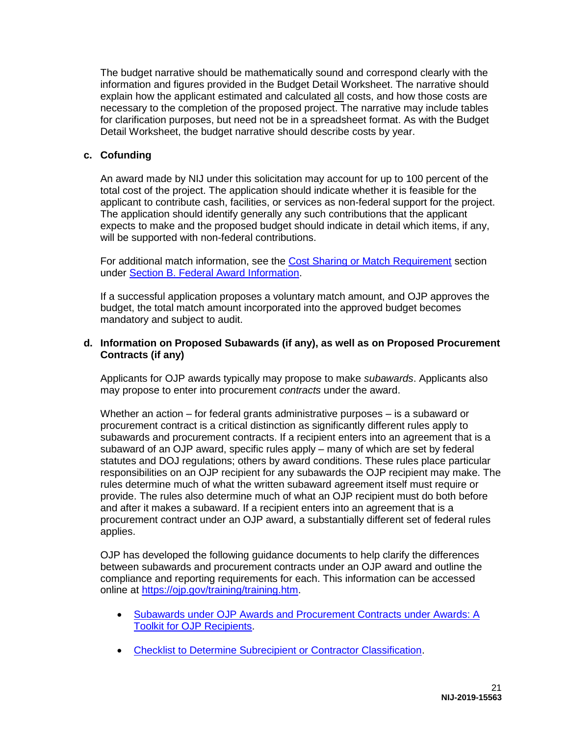The budget narrative should be mathematically sound and correspond clearly with the information and figures provided in the Budget Detail Worksheet. The narrative should explain how the applicant estimated and calculated all costs, and how those costs are necessary to the completion of the proposed project. The narrative may include tables for clarification purposes, but need not be in a spreadsheet format. As with the Budget Detail Worksheet, the budget narrative should describe costs by year.

### **c. Cofunding**

An award made by NIJ under this solicitation may account for up to 100 percent of the total cost of the project. The application should indicate whether it is feasible for the applicant to contribute cash, facilities, or services as non-federal support for the project. The application should identify generally any such contributions that the applicant expects to make and the proposed budget should indicate in detail which items, if any, will be supported with non-federal contributions.

For additional match information, see the [Cost Sharing or Match Requirement](#page-12-1) section under [Section B. Federal Award Information.](#page-10-0)

If a successful application proposes a voluntary match amount, and OJP approves the budget, the total match amount incorporated into the approved budget becomes mandatory and subject to audit.

### **d. Information on Proposed Subawards (if any), as well as on Proposed Procurement Contracts (if any)**

Applicants for OJP awards typically may propose to make *subawards*. Applicants also may propose to enter into procurement *contracts* under the award.

Whether an action – for federal grants administrative purposes – is a subaward or procurement contract is a critical distinction as significantly different rules apply to subawards and procurement contracts. If a recipient enters into an agreement that is a subaward of an OJP award, specific rules apply – many of which are set by federal statutes and DOJ regulations; others by award conditions. These rules place particular responsibilities on an OJP recipient for any subawards the OJP recipient may make. The rules determine much of what the written subaward agreement itself must require or provide. The rules also determine much of what an OJP recipient must do both before and after it makes a subaward. If a recipient enters into an agreement that is a procurement contract under an OJP award, a substantially different set of federal rules applies.

OJP has developed the following guidance documents to help clarify the differences between subawards and procurement contracts under an OJP award and outline the compliance and reporting requirements for each. This information can be accessed online at [https://ojp.gov/training/training.htm.](https://ojp.gov/training/training.htm)

- Subawards under OJP Awards and Procurement Contracts under Awards: A [Toolkit for OJP Recipients.](https://ojp.gov/training/pdfs/Subaward-Procure-Toolkit-D.pdf)
- [Checklist to Determine Subrecipient or Contractor Classification.](https://ojp.gov/training/pdfs/Subrecipient-Procure-cklist-B.pdf)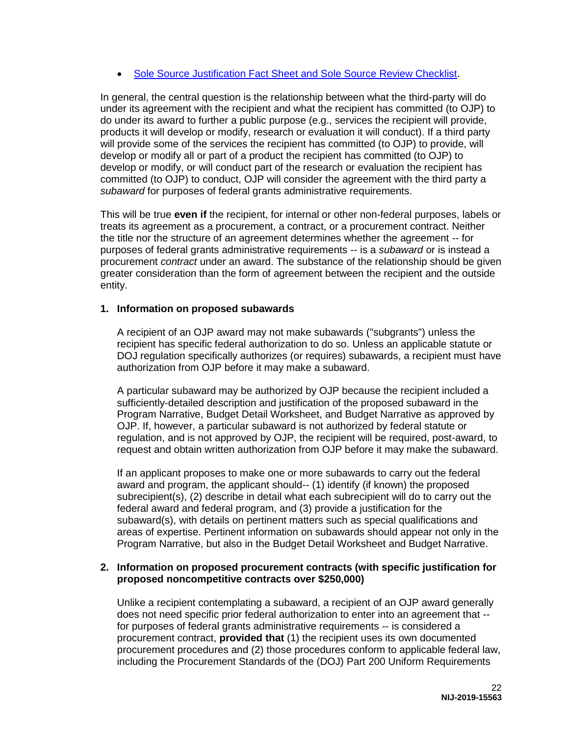• [Sole Source Justification Fact Sheet and Sole Source Review Checklist.](https://ojp.gov/training/pdfs/Sole-Source-FactSheet-C.pdf)

In general, the central question is the relationship between what the third-party will do under its agreement with the recipient and what the recipient has committed (to OJP) to do under its award to further a public purpose (e.g., services the recipient will provide, products it will develop or modify, research or evaluation it will conduct). If a third party will provide some of the services the recipient has committed (to OJP) to provide, will develop or modify all or part of a product the recipient has committed (to OJP) to develop or modify, or will conduct part of the research or evaluation the recipient has committed (to OJP) to conduct, OJP will consider the agreement with the third party a *subaward* for purposes of federal grants administrative requirements.

This will be true **even if** the recipient, for internal or other non-federal purposes, labels or treats its agreement as a procurement, a contract, or a procurement contract. Neither the title nor the structure of an agreement determines whether the agreement -- for purposes of federal grants administrative requirements -- is a *subaward* or is instead a procurement *contract* under an award. The substance of the relationship should be given greater consideration than the form of agreement between the recipient and the outside entity.

### **1. Information on proposed subawards**

A recipient of an OJP award may not make subawards ("subgrants") unless the recipient has specific federal authorization to do so. Unless an applicable statute or DOJ regulation specifically authorizes (or requires) subawards, a recipient must have authorization from OJP before it may make a subaward.

A particular subaward may be authorized by OJP because the recipient included a sufficiently-detailed description and justification of the proposed subaward in the Program Narrative, Budget Detail Worksheet, and Budget Narrative as approved by OJP. If, however, a particular subaward is not authorized by federal statute or regulation, and is not approved by OJP, the recipient will be required, post-award, to request and obtain written authorization from OJP before it may make the subaward.

If an applicant proposes to make one or more subawards to carry out the federal award and program, the applicant should-- (1) identify (if known) the proposed subrecipient(s), (2) describe in detail what each subrecipient will do to carry out the federal award and federal program, and (3) provide a justification for the subaward(s), with details on pertinent matters such as special qualifications and areas of expertise. Pertinent information on subawards should appear not only in the Program Narrative, but also in the Budget Detail Worksheet and Budget Narrative.

#### **2. Information on proposed procurement contracts (with specific justification for proposed noncompetitive contracts over \$250,000)**

Unlike a recipient contemplating a subaward, a recipient of an OJP award generally does not need specific prior federal authorization to enter into an agreement that - for purposes of federal grants administrative requirements -- is considered a procurement contract, **provided that** (1) the recipient uses its own documented procurement procedures and (2) those procedures conform to applicable federal law, including the Procurement Standards of the (DOJ) Part 200 Uniform Requirements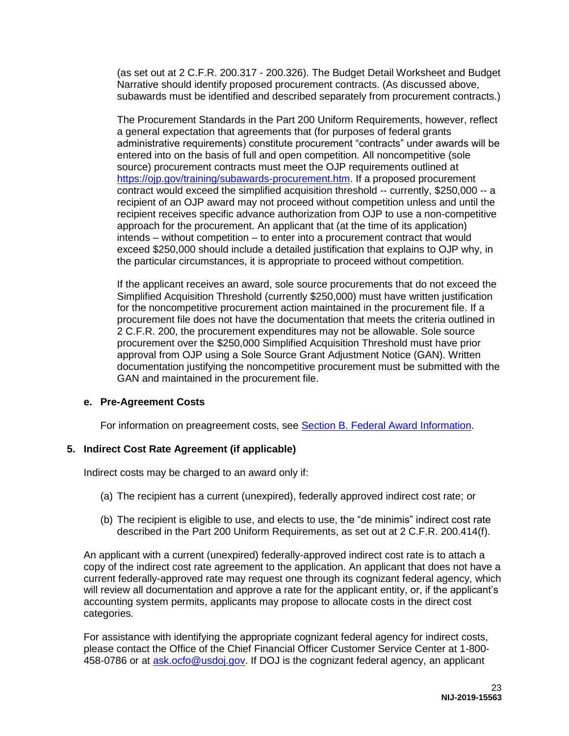(as set out at 2 C.F.R. 200.317 - 200.326). The Budget Detail Worksheet and Budget Narrative should identify proposed procurement contracts. (As discussed above, subawards must be identified and described separately from procurement contracts.)

The Procurement Standards in the Part 200 Uniform Requirements, however, reflect a general expectation that agreements that (for purposes of federal grants administrative requirements) constitute procurement "contracts" under awards will be entered into on the basis of full and open competition. All noncompetitive (sole source) procurement contracts must meet the OJP requirements outlined at [https://ojp.gov/training/subawards-procurement.htm.](https://ojp.gov/training/subawards-procurement.htm) If a proposed procurement contract would exceed the simplified acquisition threshold -- currently, \$250,000 -- a recipient of an OJP award may not proceed without competition unless and until the recipient receives specific advance authorization from OJP to use a non-competitive approach for the procurement. An applicant that (at the time of its application) intends – without competition – to enter into a procurement contract that would exceed \$250,000 should include a detailed justification that explains to OJP why, in the particular circumstances, it is appropriate to proceed without competition.

If the applicant receives an award, sole source procurements that do not exceed the Simplified Acquisition Threshold (currently \$250,000) must have written justification for the noncompetitive procurement action maintained in the procurement file. If a procurement file does not have the documentation that meets the criteria outlined in 2 C.F.R. 200, the procurement expenditures may not be allowable. Sole source procurement over the \$250,000 Simplified Acquisition Threshold must have prior approval from OJP using a Sole Source Grant Adjustment Notice (GAN). Written documentation justifying the noncompetitive procurement must be submitted with the GAN and maintained in the procurement file.

### **e. Pre-Agreement Costs**

For information on preagreement costs, see [Section B. Federal Award Information.](#page-10-0)

# **5. Indirect Cost Rate Agreement (if applicable)**

Indirect costs may be charged to an award only if:

- (a) The recipient has a current (unexpired), federally approved indirect cost rate; or
- (b) The recipient is eligible to use, and elects to use, the "de minimis" indirect cost rate described in the Part 200 Uniform Requirements, as set out at 2 C.F.R. 200.414(f).

An applicant with a current (unexpired) federally-approved indirect cost rate is to attach a copy of the indirect cost rate agreement to the application. An applicant that does not have a current federally-approved rate may request one through its cognizant federal agency, which will review all documentation and approve a rate for the applicant entity, or, if the applicant's accounting system permits, applicants may propose to allocate costs in the direct cost categories.

For assistance with identifying the appropriate cognizant federal agency for indirect costs, please contact the Office of the Chief Financial Officer Customer Service Center at 1-800- 458-0786 or at [ask.ocfo@usdoj.gov.](mailto:ask.ocfo@usdoj.gov) If DOJ is the cognizant federal agency, an applicant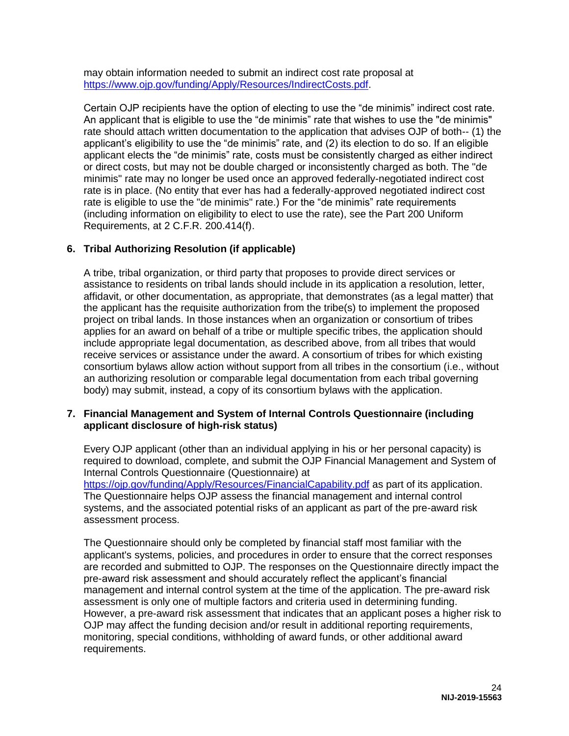may obtain information needed to submit an indirect cost rate proposal at [https://www.ojp.gov/funding/Apply/Resources/IndirectCosts.pdf.](https://www.ojp.gov/funding/Apply/Resources/IndirectCosts.pdf)

Certain OJP recipients have the option of electing to use the "de minimis" indirect cost rate. An applicant that is eligible to use the "de minimis" rate that wishes to use the "de minimis" rate should attach written documentation to the application that advises OJP of both-- (1) the applicant's eligibility to use the "de minimis" rate, and (2) its election to do so. If an eligible applicant elects the "de minimis" rate, costs must be consistently charged as either indirect or direct costs, but may not be double charged or inconsistently charged as both. The "de minimis" rate may no longer be used once an approved federally-negotiated indirect cost rate is in place. (No entity that ever has had a federally-approved negotiated indirect cost rate is eligible to use the "de minimis" rate.) For the "de minimis" rate requirements (including information on eligibility to elect to use the rate), see the Part 200 Uniform Requirements, at 2 C.F.R. 200.414(f).

# **6. Tribal Authorizing Resolution (if applicable)**

A tribe, tribal organization, or third party that proposes to provide direct services or assistance to residents on tribal lands should include in its application a resolution, letter, affidavit, or other documentation, as appropriate, that demonstrates (as a legal matter) that the applicant has the requisite authorization from the tribe(s) to implement the proposed project on tribal lands. In those instances when an organization or consortium of tribes applies for an award on behalf of a tribe or multiple specific tribes, the application should include appropriate legal documentation, as described above, from all tribes that would receive services or assistance under the award. A consortium of tribes for which existing consortium bylaws allow action without support from all tribes in the consortium (i.e., without an authorizing resolution or comparable legal documentation from each tribal governing body) may submit, instead, a copy of its consortium bylaws with the application.

#### **7. Financial Management and System of Internal Controls Questionnaire (including applicant disclosure of high-risk status)**

Every OJP applicant (other than an individual applying in his or her personal capacity) is required to download, complete, and submit the OJP Financial Management and System of Internal Controls Questionnaire (Questionnaire) at <https://ojp.gov/funding/Apply/Resources/FinancialCapability.pdf> as part of its application. The Questionnaire helps OJP assess the financial management and internal control systems, and the associated potential risks of an applicant as part of the pre-award risk assessment process.

The Questionnaire should only be completed by financial staff most familiar with the applicant's systems, policies, and procedures in order to ensure that the correct responses are recorded and submitted to OJP. The responses on the Questionnaire directly impact the pre-award risk assessment and should accurately reflect the applicant's financial management and internal control system at the time of the application. The pre-award risk assessment is only one of multiple factors and criteria used in determining funding. However, a pre-award risk assessment that indicates that an applicant poses a higher risk to OJP may affect the funding decision and/or result in additional reporting requirements, monitoring, special conditions, withholding of award funds, or other additional award requirements.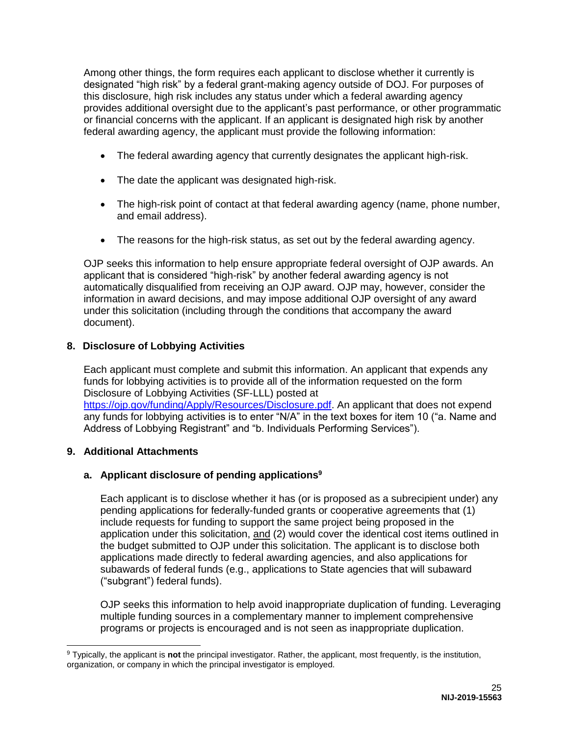Among other things, the form requires each applicant to disclose whether it currently is designated "high risk" by a federal grant-making agency outside of DOJ. For purposes of this disclosure, high risk includes any status under which a federal awarding agency provides additional oversight due to the applicant's past performance, or other programmatic or financial concerns with the applicant. If an applicant is designated high risk by another federal awarding agency, the applicant must provide the following information:

- The federal awarding agency that currently designates the applicant high-risk.
- The date the applicant was designated high-risk.
- The high-risk point of contact at that federal awarding agency (name, phone number, and email address).
- The reasons for the high-risk status, as set out by the federal awarding agency.

OJP seeks this information to help ensure appropriate federal oversight of OJP awards. An applicant that is considered "high-risk" by another federal awarding agency is not automatically disqualified from receiving an OJP award. OJP may, however, consider the information in award decisions, and may impose additional OJP oversight of any award under this solicitation (including through the conditions that accompany the award document).

# **8. Disclosure of Lobbying Activities**

Each applicant must complete and submit this information. An applicant that expends any funds for lobbying activities is to provide all of the information requested on the form Disclosure of Lobbying Activities (SF-LLL) posted at [https://ojp.gov/funding/Apply/Resources/Disclosure.pdf.](https://ojp.gov/funding/Apply/Resources/Disclosure.pdf) An applicant that does not expend any funds for lobbying activities is to enter "N/A" in the text boxes for item 10 ("a. Name and Address of Lobbying Registrant" and "b. Individuals Performing Services").

# **9. Additional Attachments**

# **a. Applicant disclosure of pending applications<sup>9</sup>**

Each applicant is to disclose whether it has (or is proposed as a subrecipient under) any pending applications for federally-funded grants or cooperative agreements that (1) include requests for funding to support the same project being proposed in the application under this solicitation, and (2) would cover the identical cost items outlined in the budget submitted to OJP under this solicitation. The applicant is to disclose both applications made directly to federal awarding agencies, and also applications for subawards of federal funds (e.g., applications to State agencies that will subaward ("subgrant") federal funds).

OJP seeks this information to help avoid inappropriate duplication of funding. Leveraging multiple funding sources in a complementary manner to implement comprehensive programs or projects is encouraged and is not seen as inappropriate duplication.

 $\overline{a}$ <sup>9</sup> Typically, the applicant is **not** the principal investigator. Rather, the applicant, most frequently, is the institution, organization, or company in which the principal investigator is employed.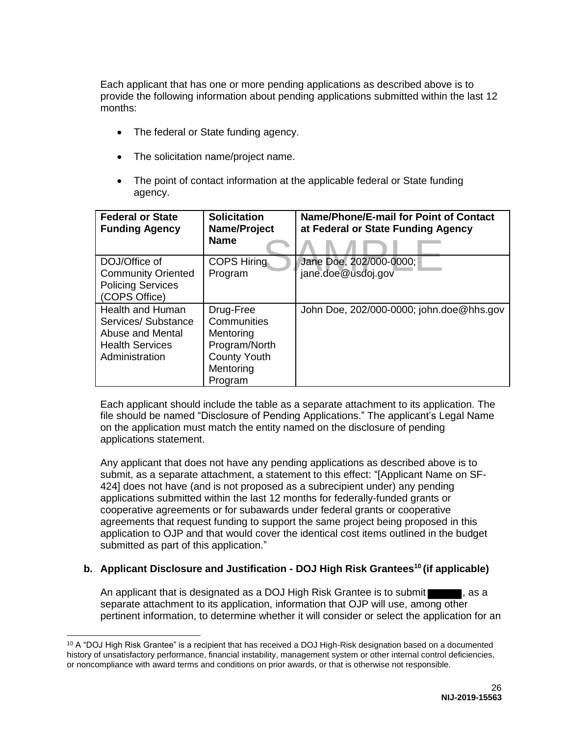Each applicant that has one or more pending applications as described above is to provide the following information about pending applications submitted within the last 12 months:

- The federal or State funding agency.
- The solicitation name/project name.
- The point of contact information at the applicable federal or State funding agency.

| <b>Federal or State</b><br><b>Funding Agency</b>                                                              | <b>Solicitation</b><br>Name/Project<br><b>Name</b>                                                    | Name/Phone/E-mail for Point of Contact<br>at Federal or State Funding Agency |
|---------------------------------------------------------------------------------------------------------------|-------------------------------------------------------------------------------------------------------|------------------------------------------------------------------------------|
| DOJ/Office of<br><b>Community Oriented</b>                                                                    | <b>COPS Hiring</b><br>Program                                                                         | Jane Doe, 202/000-0000;<br>jane.doe@usdoj.gov                                |
| <b>Policing Services</b><br>(COPS Office)                                                                     |                                                                                                       |                                                                              |
| <b>Health and Human</b><br>Services/Substance<br>Abuse and Mental<br><b>Health Services</b><br>Administration | Drug-Free<br>Communities<br>Mentoring<br>Program/North<br><b>County Youth</b><br>Mentoring<br>Program | John Doe, 202/000-0000; john.doe@hhs.gov                                     |

Each applicant should include the table as a separate attachment to its application. The file should be named "Disclosure of Pending Applications." The applicant's Legal Name on the application must match the entity named on the disclosure of pending applications statement.

Any applicant that does not have any pending applications as described above is to submit, as a separate attachment, a statement to this effect: "[Applicant Name on SF-424] does not have (and is not proposed as a subrecipient under) any pending applications submitted within the last 12 months for federally-funded grants or cooperative agreements or for subawards under federal grants or cooperative agreements that request funding to support the same project being proposed in this application to OJP and that would cover the identical cost items outlined in the budget submitted as part of this application."

### **b. Applicant Disclosure and Justification - DOJ High Risk Grantees<sup>10</sup> (if applicable)**

An applicant that is designated as a DOJ High Risk Grantee is to submit separate attachment to its application, information that OJP will use, among other pertinent information, to determine whether it will consider or select the application for an

 $10$  A "DOJ High Risk Grantee" is a recipient that has received a DOJ High-Risk designation based on a documented history of unsatisfactory performance, financial instability, management system or other internal control deficiencies, or noncompliance with award terms and conditions on prior awards, or that is otherwise not responsible.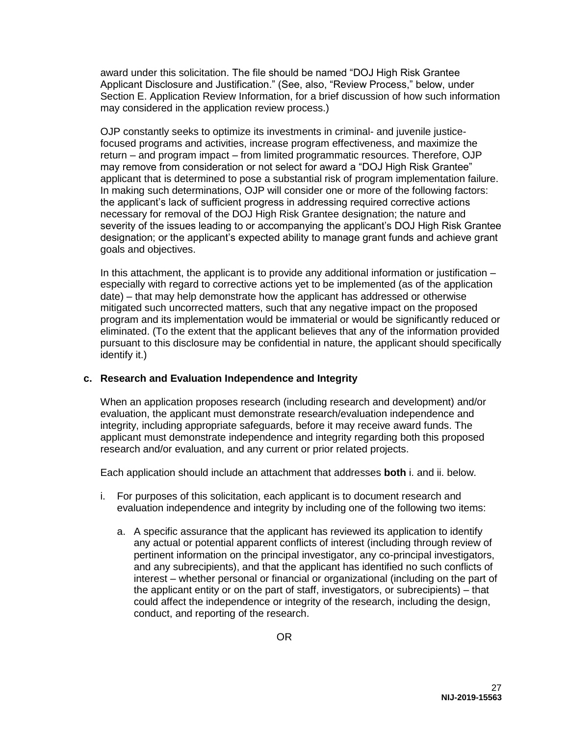award under this solicitation. The file should be named "DOJ High Risk Grantee Applicant Disclosure and Justification." (See, also, "Review Process," below, under Section E. Application Review Information, for a brief discussion of how such information may considered in the application review process.)

OJP constantly seeks to optimize its investments in criminal- and juvenile justicefocused programs and activities, increase program effectiveness, and maximize the return – and program impact – from limited programmatic resources. Therefore, OJP may remove from consideration or not select for award a "DOJ High Risk Grantee" applicant that is determined to pose a substantial risk of program implementation failure. In making such determinations, OJP will consider one or more of the following factors: the applicant's lack of sufficient progress in addressing required corrective actions necessary for removal of the DOJ High Risk Grantee designation; the nature and severity of the issues leading to or accompanying the applicant's DOJ High Risk Grantee designation; or the applicant's expected ability to manage grant funds and achieve grant goals and objectives.

In this attachment, the applicant is to provide any additional information or justification – especially with regard to corrective actions yet to be implemented (as of the application date) – that may help demonstrate how the applicant has addressed or otherwise mitigated such uncorrected matters, such that any negative impact on the proposed program and its implementation would be immaterial or would be significantly reduced or eliminated. (To the extent that the applicant believes that any of the information provided pursuant to this disclosure may be confidential in nature, the applicant should specifically identify it.)

### **c. Research and Evaluation Independence and Integrity**

When an application proposes research (including research and development) and/or evaluation, the applicant must demonstrate research/evaluation independence and integrity, including appropriate safeguards, before it may receive award funds. The applicant must demonstrate independence and integrity regarding both this proposed research and/or evaluation, and any current or prior related projects.

Each application should include an attachment that addresses **both** i. and ii. below.

- i. For purposes of this solicitation, each applicant is to document research and evaluation independence and integrity by including one of the following two items:
	- a. A specific assurance that the applicant has reviewed its application to identify any actual or potential apparent conflicts of interest (including through review of pertinent information on the principal investigator, any co-principal investigators, and any subrecipients), and that the applicant has identified no such conflicts of interest – whether personal or financial or organizational (including on the part of the applicant entity or on the part of staff, investigators, or subrecipients) – that could affect the independence or integrity of the research, including the design, conduct, and reporting of the research.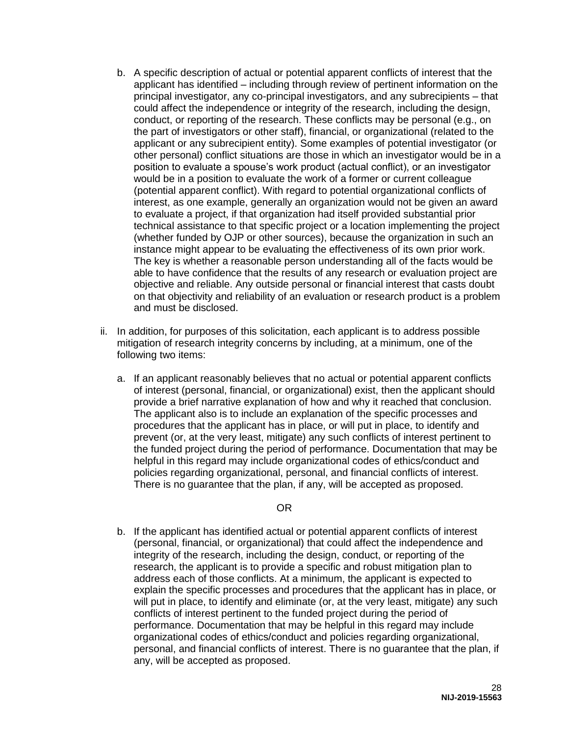- b. A specific description of actual or potential apparent conflicts of interest that the applicant has identified – including through review of pertinent information on the principal investigator, any co-principal investigators, and any subrecipients – that could affect the independence or integrity of the research, including the design, conduct, or reporting of the research. These conflicts may be personal (e.g., on the part of investigators or other staff), financial, or organizational (related to the applicant or any subrecipient entity). Some examples of potential investigator (or other personal) conflict situations are those in which an investigator would be in a position to evaluate a spouse's work product (actual conflict), or an investigator would be in a position to evaluate the work of a former or current colleague (potential apparent conflict). With regard to potential organizational conflicts of interest, as one example, generally an organization would not be given an award to evaluate a project, if that organization had itself provided substantial prior technical assistance to that specific project or a location implementing the project (whether funded by OJP or other sources), because the organization in such an instance might appear to be evaluating the effectiveness of its own prior work. The key is whether a reasonable person understanding all of the facts would be able to have confidence that the results of any research or evaluation project are objective and reliable. Any outside personal or financial interest that casts doubt on that objectivity and reliability of an evaluation or research product is a problem and must be disclosed.
- ii. In addition, for purposes of this solicitation, each applicant is to address possible mitigation of research integrity concerns by including, at a minimum, one of the following two items:
	- a. If an applicant reasonably believes that no actual or potential apparent conflicts of interest (personal, financial, or organizational) exist, then the applicant should provide a brief narrative explanation of how and why it reached that conclusion. The applicant also is to include an explanation of the specific processes and procedures that the applicant has in place, or will put in place, to identify and prevent (or, at the very least, mitigate) any such conflicts of interest pertinent to the funded project during the period of performance. Documentation that may be helpful in this regard may include organizational codes of ethics/conduct and policies regarding organizational, personal, and financial conflicts of interest. There is no guarantee that the plan, if any, will be accepted as proposed.

### OR

b. If the applicant has identified actual or potential apparent conflicts of interest (personal, financial, or organizational) that could affect the independence and integrity of the research, including the design, conduct, or reporting of the research, the applicant is to provide a specific and robust mitigation plan to address each of those conflicts. At a minimum, the applicant is expected to explain the specific processes and procedures that the applicant has in place, or will put in place, to identify and eliminate (or, at the very least, mitigate) any such conflicts of interest pertinent to the funded project during the period of performance. Documentation that may be helpful in this regard may include organizational codes of ethics/conduct and policies regarding organizational, personal, and financial conflicts of interest. There is no guarantee that the plan, if any, will be accepted as proposed.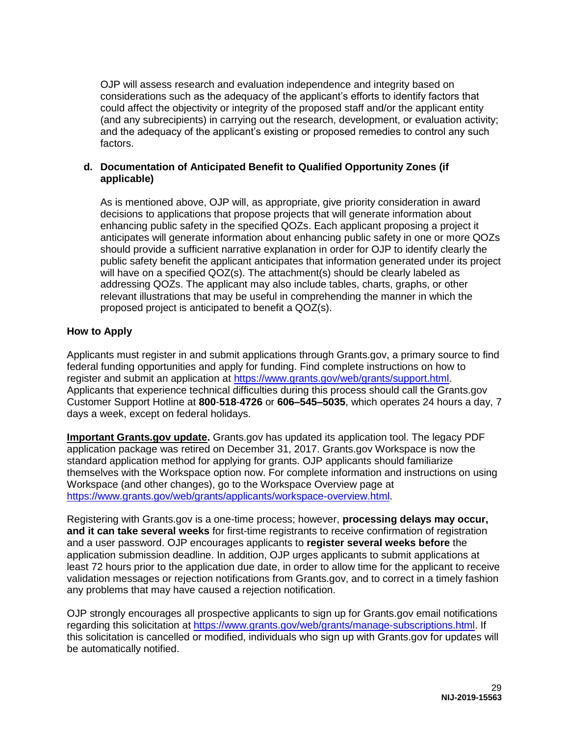OJP will assess research and evaluation independence and integrity based on considerations such as the adequacy of the applicant's efforts to identify factors that could affect the objectivity or integrity of the proposed staff and/or the applicant entity (and any subrecipients) in carrying out the research, development, or evaluation activity; and the adequacy of the applicant's existing or proposed remedies to control any such factors.

### **d. Documentation of Anticipated Benefit to Qualified Opportunity Zones (if applicable)**

As is mentioned above, OJP will, as appropriate, give priority consideration in award decisions to applications that propose projects that will generate information about enhancing public safety in the specified QOZs. Each applicant proposing a project it anticipates will generate information about enhancing public safety in one or more QOZs should provide a sufficient narrative explanation in order for OJP to identify clearly the public safety benefit the applicant anticipates that information generated under its project will have on a specified QOZ(s). The attachment(s) should be clearly labeled as addressing QOZs. The applicant may also include tables, charts, graphs, or other relevant illustrations that may be useful in comprehending the manner in which the proposed project is anticipated to benefit a QOZ(s).

# <span id="page-29-0"></span>**How to Apply**

Applicants must register in and submit applications through Grants.gov, a primary source to find federal funding opportunities and apply for funding. Find complete instructions on how to register and submit an application at [https://www.grants.gov/web/grants/support.html.](https://www.grants.gov/web/grants/support.html) Applicants that experience technical difficulties during this process should call the Grants.gov Customer Support Hotline at **800**-**518**-**4726** or **606–545–5035**, which operates 24 hours a day, 7 days a week, except on federal holidays.

**Important Grants.gov update.** Grants.gov has updated its application tool. The legacy PDF application package was retired on December 31, 2017. Grants.gov Workspace is now the standard application method for applying for grants. OJP applicants should familiarize themselves with the Workspace option now. For complete information and instructions on using Workspace (and other changes), go to the Workspace Overview page at [https://www.grants.gov/web/grants/applicants/workspace-overview.html.](https://www.grants.gov/web/grants/applicants/workspace-overview.html)

Registering with Grants.gov is a one-time process; however, **processing delays may occur, and it can take several weeks** for first-time registrants to receive confirmation of registration and a user password. OJP encourages applicants to **register several weeks before** the application submission deadline. In addition, OJP urges applicants to submit applications at least 72 hours prior to the application due date, in order to allow time for the applicant to receive validation messages or rejection notifications from Grants.gov, and to correct in a timely fashion any problems that may have caused a rejection notification.

OJP strongly encourages all prospective applicants to sign up for Grants.gov email notifications regarding this solicitation at [https://www.grants.gov/web/grants/manage-subscriptions.html.](https://www.grants.gov/web/grants/manage-subscriptions.html) If this solicitation is cancelled or modified, individuals who sign up with Grants.gov for updates will be automatically notified.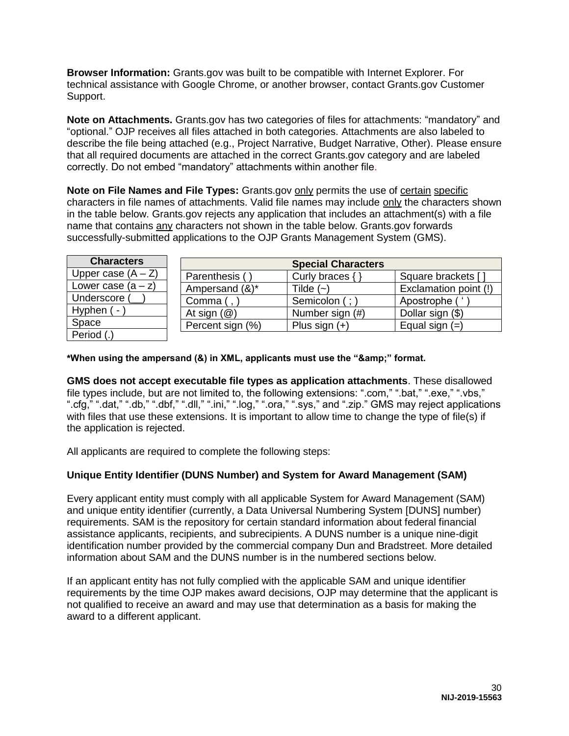**Browser Information:** Grants.gov was built to be compatible with Internet Explorer. For technical assistance with Google Chrome, or another browser, contact Grants.gov Customer Support.

**Note on Attachments.** Grants.gov has two categories of files for attachments: "mandatory" and "optional." OJP receives all files attached in both categories. Attachments are also labeled to describe the file being attached (e.g., Project Narrative, Budget Narrative, Other). Please ensure that all required documents are attached in the correct Grants.gov category and are labeled correctly. Do not embed "mandatory" attachments within another file.

**Note on File Names and File Types:** Grants.gov only permits the use of certain specific characters in file names of attachments. Valid file names may include only the characters shown in the table below. Grants.gov rejects any application that includes an attachment(s) with a file name that contains any characters not shown in the table below. Grants.gov forwards successfully-submitted applications to the OJP Grants Management System (GMS).

| <b>Characters</b>    | <b>Special Characters</b> |                 |                       |
|----------------------|---------------------------|-----------------|-----------------------|
| Upper case $(A - Z)$ | Parenthesis (             | Curly braces {  | Square brackets []    |
| Lower case $(a - z)$ | Ampersand (&)*            | Tilde $(-)$     | Exclamation point (!) |
| Underscore (         | Comma $($ , $)$           | Semicolon (;)   | Apostrophe (          |
| Hyphen ( -           | At sign $(\mathcal{Q})$   | Number sign (#) | Dollar sign (\$)      |
| Space                | Percent sign (%)          | Plus sign $(+)$ | Equal sign $(=)$      |
| Period (.)           |                           |                 |                       |

\*When using the ampersand (&) in XML, applicants must use the "&" format.

**GMS does not accept executable file types as application attachments**. These disallowed file types include, but are not limited to, the following extensions: ".com," ".bat," ".exe," ".vbs," ".cfg," ".dat," ".db," ".dbf," ".dll," ".ini," ".log," ".ora," ".sys," and ".zip." GMS may reject applications with files that use these extensions. It is important to allow time to change the type of file(s) if the application is rejected.

All applicants are required to complete the following steps:

# **Unique Entity Identifier (DUNS Number) and System for Award Management (SAM)**

Every applicant entity must comply with all applicable System for Award Management (SAM) and unique entity identifier (currently, a Data Universal Numbering System [DUNS] number) requirements. SAM is the repository for certain standard information about federal financial assistance applicants, recipients, and subrecipients. A DUNS number is a unique nine-digit identification number provided by the commercial company Dun and Bradstreet. More detailed information about SAM and the DUNS number is in the numbered sections below.

If an applicant entity has not fully complied with the applicable SAM and unique identifier requirements by the time OJP makes award decisions, OJP may determine that the applicant is not qualified to receive an award and may use that determination as a basis for making the award to a different applicant.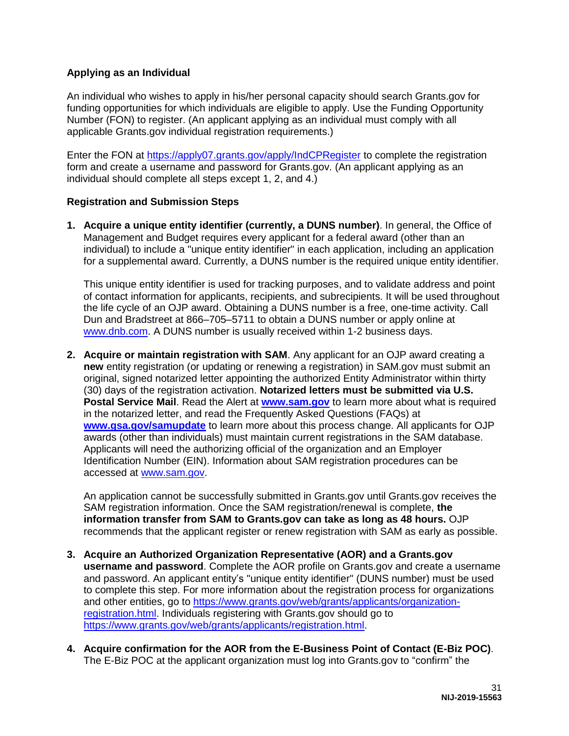## **Applying as an Individual**

An individual who wishes to apply in his/her personal capacity should search Grants.gov for funding opportunities for which individuals are eligible to apply. Use the Funding Opportunity Number (FON) to register. (An applicant applying as an individual must comply with all applicable Grants.gov individual registration requirements.)

Enter the FON at<https://apply07.grants.gov/apply/IndCPRegister>to complete the registration form and create a username and password for Grants.gov. (An applicant applying as an individual should complete all steps except 1, 2, and 4.)

## **Registration and Submission Steps**

**1. Acquire a unique entity identifier (currently, a DUNS number)**. In general, the Office of Management and Budget requires every applicant for a federal award (other than an individual) to include a "unique entity identifier" in each application, including an application for a supplemental award. Currently, a DUNS number is the required unique entity identifier.

This unique entity identifier is used for tracking purposes, and to validate address and point of contact information for applicants, recipients, and subrecipients. It will be used throughout the life cycle of an OJP award. Obtaining a DUNS number is a free, one-time activity. Call Dun and Bradstreet at 866–705–5711 to obtain a DUNS number or apply online at [www.dnb.com.](https://www.dnb.com/) A DUNS number is usually received within 1-2 business days.

**2. Acquire or maintain registration with SAM**. Any applicant for an OJP award creating a **new** entity registration (or updating or renewing a registration) in SAM.gov must submit an original, signed notarized letter appointing the authorized Entity Administrator within thirty (30) days of the registration activation. **Notarized letters must be submitted via U.S. Postal Service Mail**. Read the Alert at **[www.sam.gov](http://www.sam.gov/)** to learn more about what is required in the notarized letter, and read the Frequently Asked Questions (FAQs) at **[www.gsa.gov/samupdate](http://www.gsa.gov/samupdate)** to learn more about this process change. All applicants for OJP awards (other than individuals) must maintain current registrations in the SAM database. Applicants will need the authorizing official of the organization and an Employer Identification Number (EIN). Information about SAM registration procedures can be accessed at [www.sam.gov.](http://www.sam.gov/)

An application cannot be successfully submitted in Grants.gov until Grants.gov receives the SAM registration information. Once the SAM registration/renewal is complete, **the information transfer from SAM to Grants.gov can take as long as 48 hours.** OJP recommends that the applicant register or renew registration with SAM as early as possible.

- **3. Acquire an Authorized Organization Representative (AOR) and a Grants.gov username and password**. Complete the AOR profile on Grants.gov and create a username and password. An applicant entity's "unique entity identifier" (DUNS number) must be used to complete this step. For more information about the registration process for organizations and other entities, go to [https://www.grants.gov/web/grants/applicants/organization](https://www.grants.gov/web/grants/applicants/organization-registration.html)[registration.html.](https://www.grants.gov/web/grants/applicants/organization-registration.html) Individuals registering with Grants.gov should go to [https://www.grants.gov/web/grants/applicants/registration.html.](https://www.grants.gov/web/grants/applicants/registration.html)
- **4. Acquire confirmation for the AOR from the E-Business Point of Contact (E-Biz POC)**. The E-Biz POC at the applicant organization must log into Grants.gov to "confirm" the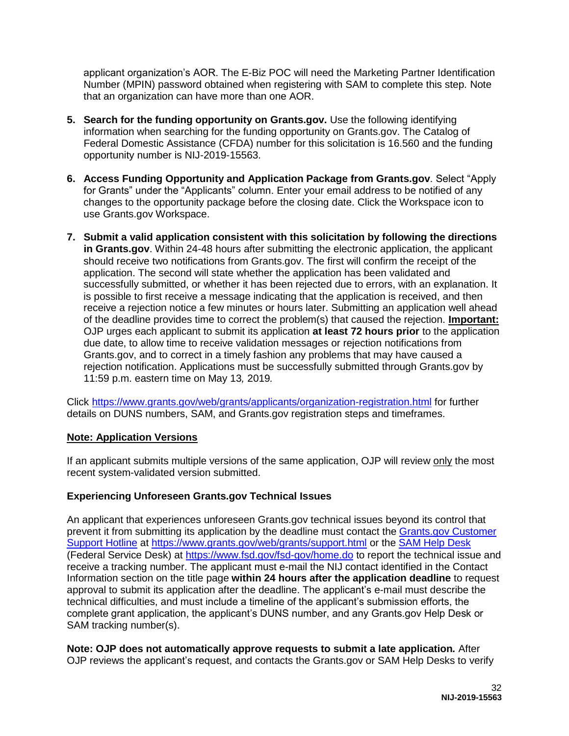applicant organization's AOR. The E-Biz POC will need the Marketing Partner Identification Number (MPIN) password obtained when registering with SAM to complete this step. Note that an organization can have more than one AOR.

- **5. Search for the funding opportunity on Grants.gov.** Use the following identifying information when searching for the funding opportunity on Grants.gov. The Catalog of Federal Domestic Assistance (CFDA) number for this solicitation is 16.560 and the funding opportunity number is NIJ-2019-15563.
- **6. Access Funding Opportunity and Application Package from Grants.gov**. Select "Apply for Grants" under the "Applicants" column. Enter your email address to be notified of any changes to the opportunity package before the closing date. Click the Workspace icon to use Grants.gov Workspace.
- **7. Submit a valid application consistent with this solicitation by following the directions**  in Grants.gov. Within 24-48 hours after submitting the electronic application, the applicant should receive two notifications from Grants.gov. The first will confirm the receipt of the application. The second will state whether the application has been validated and successfully submitted, or whether it has been rejected due to errors, with an explanation. It is possible to first receive a message indicating that the application is received, and then receive a rejection notice a few minutes or hours later. Submitting an application well ahead of the deadline provides time to correct the problem(s) that caused the rejection. **Important:**  OJP urges each applicant to submit its application **at least 72 hours prior** to the application due date, to allow time to receive validation messages or rejection notifications from Grants.gov, and to correct in a timely fashion any problems that may have caused a rejection notification. Applications must be successfully submitted through Grants.gov by 11:59 p.m. eastern time on May 13*,* 2019*.*

Click<https://www.grants.gov/web/grants/applicants/organization-registration.html>for further details on DUNS numbers, SAM, and Grants.gov registration steps and timeframes.

# **Note: Application Versions**

If an applicant submits multiple versions of the same application, OJP will review only the most recent system-validated version submitted.

# **Experiencing Unforeseen Grants.gov Technical Issues**

An applicant that experiences unforeseen Grants.gov technical issues beyond its control that prevent it from submitting its application by the deadline must contact the [Grants.gov Customer](mailto:support@grants.gov)  [Support Hotline](mailto:support@grants.gov) at [https://www.grants.gov/web/grants/support.html](https://www.grants.gov/web/grants/support.htmlo) or the [SAM Help Desk](https://www.fsd.gov/) (Federal Service Desk) at<https://www.fsd.gov/fsd-gov/home.do>to report the technical issue and receive a tracking number. The applicant must e-mail the NIJ contact identified in the Contact Information section on the title page **within 24 hours after the application deadline** to request approval to submit its application after the deadline. The applicant's e-mail must describe the technical difficulties, and must include a timeline of the applicant's submission efforts, the complete grant application, the applicant's DUNS number, and any Grants.gov Help Desk or SAM tracking number(s).

**Note: OJP does not automatically approve requests to submit a late application***.* After OJP reviews the applicant's request, and contacts the Grants.gov or SAM Help Desks to verify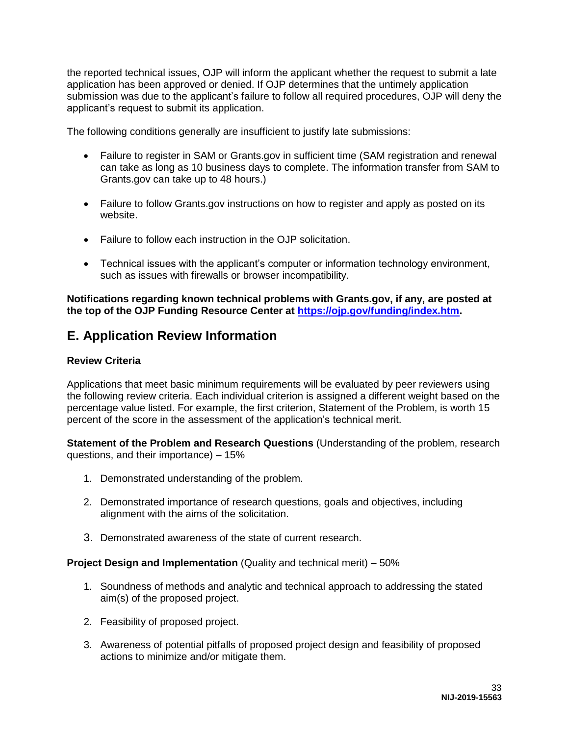the reported technical issues, OJP will inform the applicant whether the request to submit a late application has been approved or denied. If OJP determines that the untimely application submission was due to the applicant's failure to follow all required procedures, OJP will deny the applicant's request to submit its application.

The following conditions generally are insufficient to justify late submissions:

- Failure to register in SAM or Grants.gov in sufficient time (SAM registration and renewal can take as long as 10 business days to complete. The information transfer from SAM to Grants.gov can take up to 48 hours.)
- Failure to follow Grants.gov instructions on how to register and apply as posted on its website.
- Failure to follow each instruction in the OJP solicitation.
- Technical issues with the applicant's computer or information technology environment, such as issues with firewalls or browser incompatibility.

**Notifications regarding known technical problems with Grants.gov, if any, are posted at the top of the OJP Funding Resource Center at [https://ojp.gov/funding/index.htm.](https://ojp.gov/funding/index.htm)** 

# <span id="page-33-0"></span>**E. Application Review Information**

#### <span id="page-33-1"></span>**Review Criteria**

Applications that meet basic minimum requirements will be evaluated by peer reviewers using the following review criteria. Each individual criterion is assigned a different weight based on the percentage value listed. For example, the first criterion, Statement of the Problem, is worth 15 percent of the score in the assessment of the application's technical merit.

**Statement of the Problem and Research Questions** (Understanding of the problem, research questions, and their importance) – 15%

- 1. Demonstrated understanding of the problem.
- 2. Demonstrated importance of research questions, goals and objectives, including alignment with the aims of the solicitation.
- 3. Demonstrated awareness of the state of current research.

#### **Project Design and Implementation** (Quality and technical merit) – 50%

- 1. Soundness of methods and analytic and technical approach to addressing the stated aim(s) of the proposed project.
- 2. Feasibility of proposed project.
- 3. Awareness of potential pitfalls of proposed project design and feasibility of proposed actions to minimize and/or mitigate them.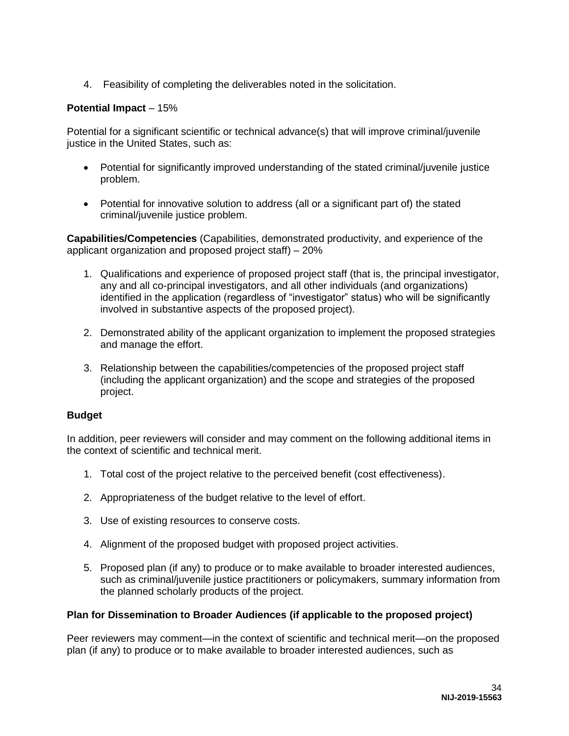4. Feasibility of completing the deliverables noted in the solicitation.

## **Potential Impact** – 15%

Potential for a significant scientific or technical advance(s) that will improve criminal/juvenile justice in the United States, such as:

- Potential for significantly improved understanding of the stated criminal/juvenile justice problem.
- Potential for innovative solution to address (all or a significant part of) the stated criminal/juvenile justice problem.

**Capabilities/Competencies** (Capabilities, demonstrated productivity, and experience of the applicant organization and proposed project staff) – 20%

- 1. Qualifications and experience of proposed project staff (that is, the principal investigator, any and all co-principal investigators, and all other individuals (and organizations) identified in the application (regardless of "investigator" status) who will be significantly involved in substantive aspects of the proposed project).
- 2. Demonstrated ability of the applicant organization to implement the proposed strategies and manage the effort.
- 3. Relationship between the capabilities/competencies of the proposed project staff (including the applicant organization) and the scope and strategies of the proposed project.

### **Budget**

In addition, peer reviewers will consider and may comment on the following additional items in the context of scientific and technical merit.

- 1. Total cost of the project relative to the perceived benefit (cost effectiveness).
- 2. Appropriateness of the budget relative to the level of effort.
- 3. Use of existing resources to conserve costs.
- 4. Alignment of the proposed budget with proposed project activities.
- 5. Proposed plan (if any) to produce or to make available to broader interested audiences, such as criminal/juvenile justice practitioners or policymakers, summary information from the planned scholarly products of the project.

#### **Plan for Dissemination to Broader Audiences (if applicable to the proposed project)**

Peer reviewers may comment—in the context of scientific and technical merit—on the proposed plan (if any) to produce or to make available to broader interested audiences, such as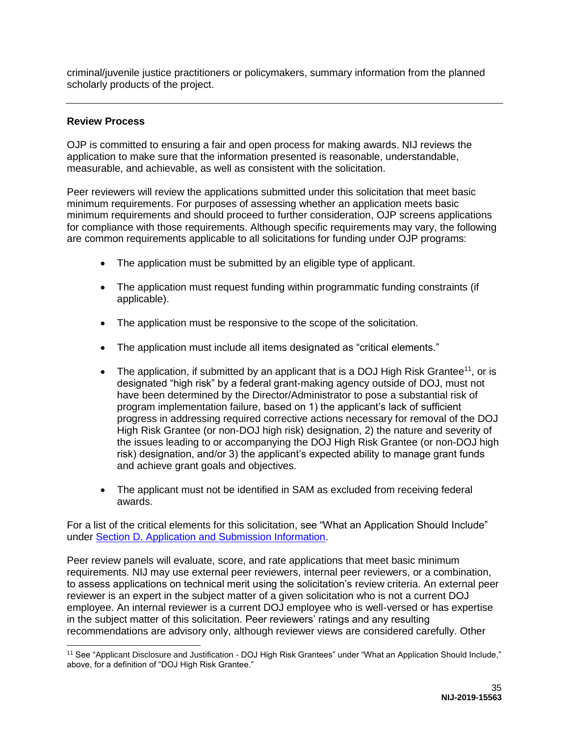criminal/juvenile justice practitioners or policymakers, summary information from the planned scholarly products of the project.

### <span id="page-35-0"></span>**Review Process**

 $\overline{a}$ 

OJP is committed to ensuring a fair and open process for making awards. NIJ reviews the application to make sure that the information presented is reasonable, understandable, measurable, and achievable, as well as consistent with the solicitation.

Peer reviewers will review the applications submitted under this solicitation that meet basic minimum requirements. For purposes of assessing whether an application meets basic minimum requirements and should proceed to further consideration, OJP screens applications for compliance with those requirements. Although specific requirements may vary, the following are common requirements applicable to all solicitations for funding under OJP programs:

- The application must be submitted by an eligible type of applicant.
- The application must request funding within programmatic funding constraints (if applicable).
- The application must be responsive to the scope of the solicitation.
- The application must include all items designated as "critical elements."
- The application, if submitted by an applicant that is a DOJ High Risk Grantee<sup>11</sup>, or is designated "high risk" by a federal grant-making agency outside of DOJ, must not have been determined by the Director/Administrator to pose a substantial risk of program implementation failure, based on 1) the applicant's lack of sufficient progress in addressing required corrective actions necessary for removal of the DOJ High Risk Grantee (or non-DOJ high risk) designation, 2) the nature and severity of the issues leading to or accompanying the DOJ High Risk Grantee (or non-DOJ high risk) designation, and/or 3) the applicant's expected ability to manage grant funds and achieve grant goals and objectives.
- The applicant must not be identified in SAM as excluded from receiving federal awards.

For a list of the critical elements for this solicitation, see "What an Application Should Include" under [Section D. Application and Submission Information.](#page-14-0)

Peer review panels will evaluate, score, and rate applications that meet basic minimum requirements. NIJ may use external peer reviewers, internal peer reviewers, or a combination, to assess applications on technical merit using the solicitation's review criteria. An external peer reviewer is an expert in the subject matter of a given solicitation who is not a current DOJ employee. An internal reviewer is a current DOJ employee who is well-versed or has expertise in the subject matter of this solicitation. Peer reviewers' ratings and any resulting recommendations are advisory only, although reviewer views are considered carefully. Other

<sup>11</sup> See "Applicant Disclosure and Justification - DOJ High Risk Grantees" under "What an Application Should Include," above, for a definition of "DOJ High Risk Grantee."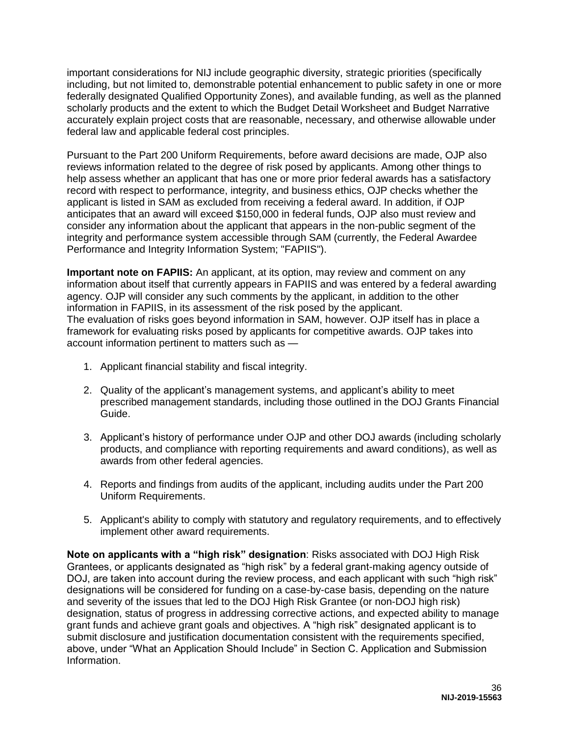important considerations for NIJ include geographic diversity, strategic priorities (specifically including, but not limited to, demonstrable potential enhancement to public safety in one or more federally designated Qualified Opportunity Zones), and available funding, as well as the planned scholarly products and the extent to which the Budget Detail Worksheet and Budget Narrative accurately explain project costs that are reasonable, necessary, and otherwise allowable under federal law and applicable federal cost principles.

Pursuant to the Part 200 Uniform Requirements, before award decisions are made, OJP also reviews information related to the degree of risk posed by applicants. Among other things to help assess whether an applicant that has one or more prior federal awards has a satisfactory record with respect to performance, integrity, and business ethics, OJP checks whether the applicant is listed in SAM as excluded from receiving a federal award. In addition, if OJP anticipates that an award will exceed \$150,000 in federal funds, OJP also must review and consider any information about the applicant that appears in the non-public segment of the integrity and performance system accessible through SAM (currently, the Federal Awardee Performance and Integrity Information System; "FAPIIS").

**Important note on FAPIIS:** An applicant, at its option, may review and comment on any information about itself that currently appears in FAPIIS and was entered by a federal awarding agency. OJP will consider any such comments by the applicant, in addition to the other information in FAPIIS, in its assessment of the risk posed by the applicant. The evaluation of risks goes beyond information in SAM, however. OJP itself has in place a framework for evaluating risks posed by applicants for competitive awards. OJP takes into account information pertinent to matters such as —

- 1. Applicant financial stability and fiscal integrity.
- 2. Quality of the applicant's management systems, and applicant's ability to meet prescribed management standards, including those outlined in the DOJ Grants Financial Guide.
- 3. Applicant's history of performance under OJP and other DOJ awards (including scholarly products, and compliance with reporting requirements and award conditions), as well as awards from other federal agencies.
- 4. Reports and findings from audits of the applicant, including audits under the Part 200 Uniform Requirements.
- 5. Applicant's ability to comply with statutory and regulatory requirements, and to effectively implement other award requirements.

**Note on applicants with a "high risk" designation**: Risks associated with DOJ High Risk Grantees, or applicants designated as "high risk" by a federal grant-making agency outside of DOJ, are taken into account during the review process, and each applicant with such "high risk" designations will be considered for funding on a case-by-case basis, depending on the nature and severity of the issues that led to the DOJ High Risk Grantee (or non-DOJ high risk) designation, status of progress in addressing corrective actions, and expected ability to manage grant funds and achieve grant goals and objectives. A "high risk" designated applicant is to submit disclosure and justification documentation consistent with the requirements specified, above, under "What an Application Should Include" in Section C. Application and Submission Information.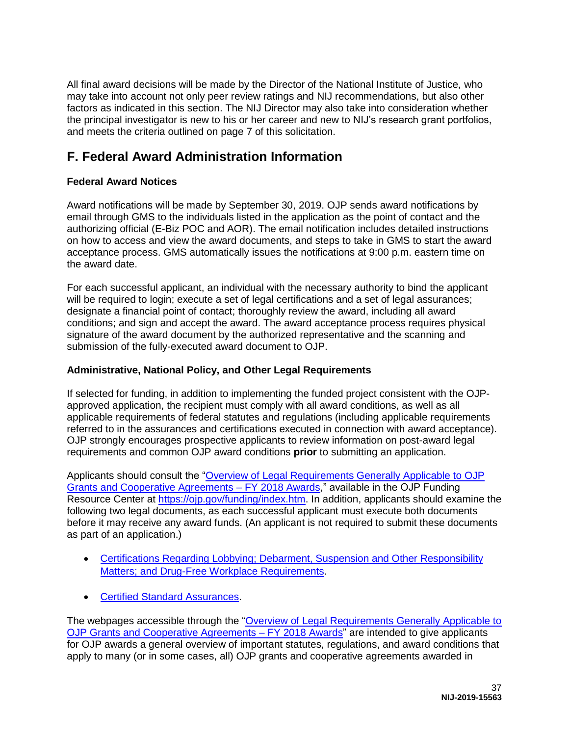All final award decisions will be made by the Director of the National Institute of Justice*,* who may take into account not only peer review ratings and NIJ recommendations, but also other factors as indicated in this section. The NIJ Director may also take into consideration whether the principal investigator is new to his or her career and new to NIJ's research grant portfolios, and meets the criteria outlined on page 7 of this solicitation.

# <span id="page-37-0"></span>**F. Federal Award Administration Information**

# <span id="page-37-1"></span>**Federal Award Notices**

Award notifications will be made by September 30, 2019. OJP sends award notifications by email through GMS to the individuals listed in the application as the point of contact and the authorizing official (E-Biz POC and AOR). The email notification includes detailed instructions on how to access and view the award documents, and steps to take in GMS to start the award acceptance process. GMS automatically issues the notifications at 9:00 p.m. eastern time on the award date.

For each successful applicant, an individual with the necessary authority to bind the applicant will be required to login; execute a set of legal certifications and a set of legal assurances; designate a financial point of contact; thoroughly review the award, including all award conditions; and sign and accept the award. The award acceptance process requires physical signature of the award document by the authorized representative and the scanning and submission of the fully-executed award document to OJP.

# <span id="page-37-2"></span>**Administrative, National Policy, and Other Legal Requirements**

If selected for funding, in addition to implementing the funded project consistent with the OJPapproved application, the recipient must comply with all award conditions, as well as all applicable requirements of federal statutes and regulations (including applicable requirements referred to in the assurances and certifications executed in connection with award acceptance). OJP strongly encourages prospective applicants to review information on post-award legal requirements and common OJP award conditions **prior** to submitting an application.

Applicants should consult the ["Overview of Legal Requirements Generally Applicable to OJP](https://ojp.gov/funding/Explore/LegalOverview/index.htm)  [Grants and Cooperative Agreements – FY 2018 Awards,](https://ojp.gov/funding/Explore/LegalOverview/index.htm)" available in the OJP Funding Resource Center at [https://ojp.gov/funding/index.htm.](https://ojp.gov/funding/index.htm) In addition, applicants should examine the following two legal documents, as each successful applicant must execute both documents before it may receive any award funds. (An applicant is not required to submit these documents as part of an application.)

- [Certifications Regarding Lobbying; Debarment, Suspension and Other Responsibility](https://ojp.gov/funding/Apply/Resources/Certifications.pdf)  Matters: and Drug-Free Workplace Requirements.
- [Certified Standard Assurances.](https://ojp.gov/funding/Apply/Resources/StandardAssurances.pdf)

The webpages accessible through the ["Overview of Legal Requirements Generally Applicable to](https://ojp.gov/funding/Explore/LegalOverview/index.htm)  [OJP Grants and Cooperative Agreements](https://ojp.gov/funding/Explore/LegalOverview/index.htm) – FY 2018 Awards" are intended to give applicants for OJP awards a general overview of important statutes, regulations, and award conditions that apply to many (or in some cases, all) OJP grants and cooperative agreements awarded in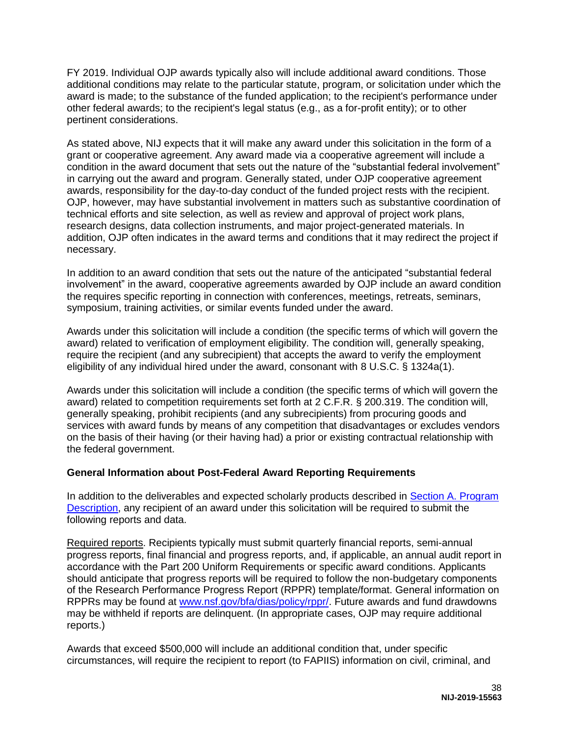FY 2019. Individual OJP awards typically also will include additional award conditions. Those additional conditions may relate to the particular statute, program, or solicitation under which the award is made; to the substance of the funded application; to the recipient's performance under other federal awards; to the recipient's legal status (e.g., as a for-profit entity); or to other pertinent considerations.

As stated above, NIJ expects that it will make any award under this solicitation in the form of a grant or cooperative agreement. Any award made via a cooperative agreement will include a condition in the award document that sets out the nature of the "substantial federal involvement" in carrying out the award and program. Generally stated, under OJP cooperative agreement awards, responsibility for the day-to-day conduct of the funded project rests with the recipient. OJP, however, may have substantial involvement in matters such as substantive coordination of technical efforts and site selection, as well as review and approval of project work plans, research designs, data collection instruments, and major project-generated materials. In addition, OJP often indicates in the award terms and conditions that it may redirect the project if necessary.

In addition to an award condition that sets out the nature of the anticipated "substantial federal involvement" in the award, cooperative agreements awarded by OJP include an award condition the requires specific reporting in connection with conferences, meetings, retreats, seminars, symposium, training activities, or similar events funded under the award.

Awards under this solicitation will include a condition (the specific terms of which will govern the award) related to verification of employment eligibility. The condition will, generally speaking, require the recipient (and any subrecipient) that accepts the award to verify the employment eligibility of any individual hired under the award, consonant with 8 U.S.C. § 1324a(1).

Awards under this solicitation will include a condition (the specific terms of which will govern the award) related to competition requirements set forth at 2 C.F.R. § 200.319. The condition will, generally speaking, prohibit recipients (and any subrecipients) from procuring goods and services with award funds by means of any competition that disadvantages or excludes vendors on the basis of their having (or their having had) a prior or existing contractual relationship with the federal government.

### <span id="page-38-0"></span>**General Information about Post-Federal Award Reporting Requirements**

In addition to the deliverables and expected scholarly products described in [Section A. Program](#page-4-0)  [Description,](#page-4-0) any recipient of an award under this solicitation will be required to submit the following reports and data.

Required reports. Recipients typically must submit quarterly financial reports, semi-annual progress reports, final financial and progress reports, and, if applicable, an annual audit report in accordance with the Part 200 Uniform Requirements or specific award conditions. Applicants should anticipate that progress reports will be required to follow the non-budgetary components of the Research Performance Progress Report (RPPR) template/format. General information on RPPRs may be found at [www.nsf.gov/bfa/dias/policy/rppr/.](https://www.nsf.gov/bfa/dias/policy/rppr/) Future awards and fund drawdowns may be withheld if reports are delinquent. (In appropriate cases, OJP may require additional reports.)

Awards that exceed \$500,000 will include an additional condition that, under specific circumstances, will require the recipient to report (to FAPIIS) information on civil, criminal, and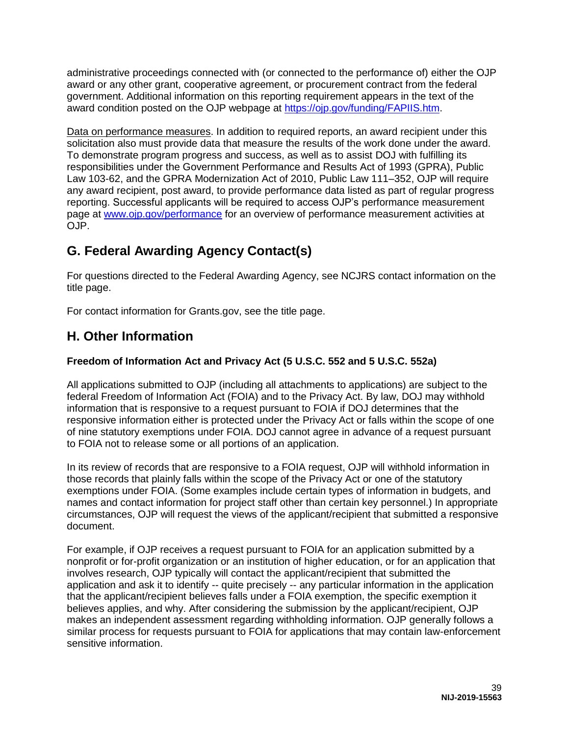administrative proceedings connected with (or connected to the performance of) either the OJP award or any other grant, cooperative agreement, or procurement contract from the federal government. Additional information on this reporting requirement appears in the text of the award condition posted on the OJP webpage at [https://ojp.gov/funding/FAPIIS.htm.](https://ojp.gov/funding/FAPIIS.htm)

Data on performance measures. In addition to required reports, an award recipient under this solicitation also must provide data that measure the results of the work done under the award. To demonstrate program progress and success, as well as to assist DOJ with fulfilling its responsibilities under the Government Performance and Results Act of 1993 (GPRA), Public Law 103-62, and the GPRA Modernization Act of 2010, Public Law 111–352, OJP will require any award recipient, post award, to provide performance data listed as part of regular progress reporting. Successful applicants will be required to access OJP's performance measurement page at [www.ojp.gov/performance](https://www.ojp.gov/performance) for an overview of performance measurement activities at OJP.

# <span id="page-39-0"></span>**G. Federal Awarding Agency Contact(s)**

For questions directed to the Federal Awarding Agency, see NCJRS contact information on the title page.

For contact information for Grants.gov, see the title page.

# <span id="page-39-1"></span>**H. Other Information**

# <span id="page-39-2"></span>**Freedom of Information Act and Privacy Act (5 U.S.C. 552 and 5 U.S.C. 552a)**

All applications submitted to OJP (including all attachments to applications) are subject to the federal Freedom of Information Act (FOIA) and to the Privacy Act. By law, DOJ may withhold information that is responsive to a request pursuant to FOIA if DOJ determines that the responsive information either is protected under the Privacy Act or falls within the scope of one of nine statutory exemptions under FOIA. DOJ cannot agree in advance of a request pursuant to FOIA not to release some or all portions of an application.

In its review of records that are responsive to a FOIA request, OJP will withhold information in those records that plainly falls within the scope of the Privacy Act or one of the statutory exemptions under FOIA. (Some examples include certain types of information in budgets, and names and contact information for project staff other than certain key personnel.) In appropriate circumstances, OJP will request the views of the applicant/recipient that submitted a responsive document.

For example, if OJP receives a request pursuant to FOIA for an application submitted by a nonprofit or for-profit organization or an institution of higher education, or for an application that involves research, OJP typically will contact the applicant/recipient that submitted the application and ask it to identify -- quite precisely -- any particular information in the application that the applicant/recipient believes falls under a FOIA exemption, the specific exemption it believes applies, and why. After considering the submission by the applicant/recipient, OJP makes an independent assessment regarding withholding information. OJP generally follows a similar process for requests pursuant to FOIA for applications that may contain law-enforcement sensitive information.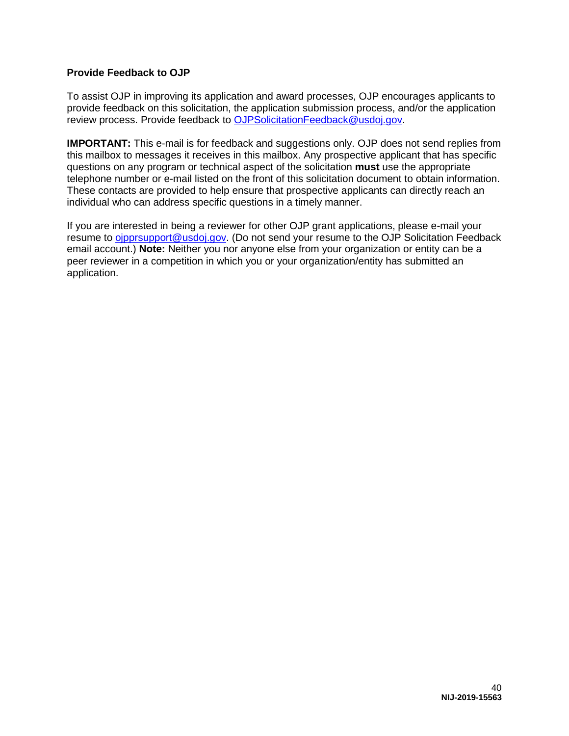# <span id="page-40-0"></span>**Provide Feedback to OJP**

To assist OJP in improving its application and award processes, OJP encourages applicants to provide feedback on this solicitation, the application submission process, and/or the application review process. Provide feedback to [OJPSolicitationFeedback@usdoj.gov.](mailto:OJPSolicitationFeedback@usdoj.gov)

**IMPORTANT:** This e-mail is for feedback and suggestions only. OJP does not send replies from this mailbox to messages it receives in this mailbox. Any prospective applicant that has specific questions on any program or technical aspect of the solicitation **must** use the appropriate telephone number or e-mail listed on the front of this solicitation document to obtain information. These contacts are provided to help ensure that prospective applicants can directly reach an individual who can address specific questions in a timely manner.

If you are interested in being a reviewer for other OJP grant applications, please e-mail your resume to oipprsupport@usdoj.gov. (Do not send your resume to the OJP Solicitation Feedback email account.) **Note:** Neither you nor anyone else from your organization or entity can be a peer reviewer in a competition in which you or your organization/entity has submitted an application.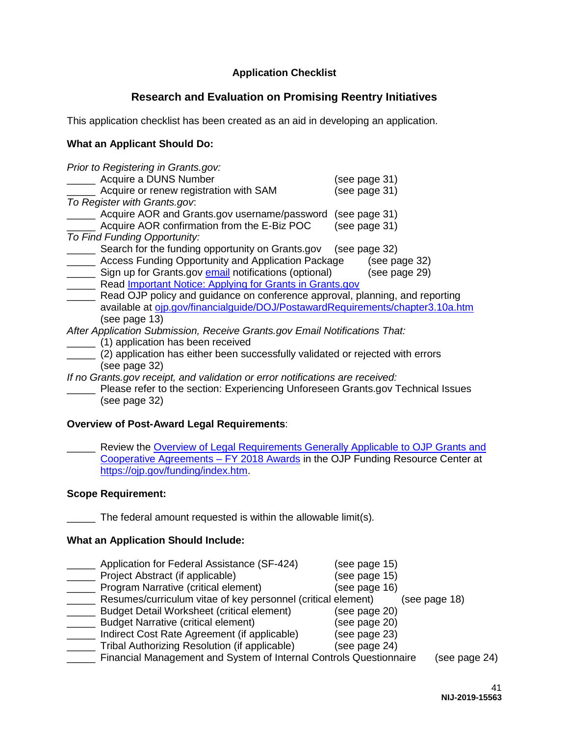# **Application Checklist**

# **Research and Evaluation on Promising Reentry Initiatives**

<span id="page-41-0"></span>This application checklist has been created as an aid in developing an application.

## **What an Applicant Should Do:**

| Prior to Registering in Grants.gov:                                              |               |
|----------------------------------------------------------------------------------|---------------|
| Acquire a DUNS Number                                                            | (see page 31) |
| Acquire or renew registration with SAM                                           | (see page 31) |
| To Register with Grants.gov.                                                     |               |
| Acquire AOR and Grants.gov username/password                                     | (see page 31) |
| Acquire AOR confirmation from the E-Biz POC                                      | (see page 31) |
| To Find Funding Opportunity:                                                     |               |
| Search for the funding opportunity on Grants.gov (see page 32)                   |               |
| Access Funding Opportunity and Application Package                               | (see page 32) |
| Sign up for Grants.gov email notifications (optional)                            | (see page 29) |
| Read <i>Important Notice: Applying for Grants in Grants.gov</i>                  |               |
| Read OJP policy and guidance on conference approval, planning, and reporting     |               |
| available at ojp.gov/financialguide/DOJ/PostawardRequirements/chapter3.10a.htm   |               |
| (see page 13)                                                                    |               |
| After Application Submission, Receive Grants.gov Email Notifications That:       |               |
| (1) application has been received                                                |               |
| (2) application has either been successfully validated or rejected with errors   |               |
| (see page 32)                                                                    |               |
| If no Grants gov receipt, and validation or error notifications are received:    |               |
| Please refer to the section: Experiencing Unforeseen Grants.gov Technical Issues |               |

(see page 32)

### **Overview of Post-Award Legal Requirements**:

Review the Overview of Legal Requirements Generally Applicable to OJP Grants and [Cooperative Agreements – FY 2018 Awards](https://ojp.gov/funding/Explore/LegalOverview/index.htm) in the OJP Funding Resource Center at [https://ojp.gov/funding/index.htm.](https://ojp.gov/funding/index.htm)

### **Scope Requirement:**

\_\_\_\_\_ The federal amount requested is within the allowable limit(s)*.*

### **What an Application Should Include:**

| Application for Federal Assistance (SF-424)                        | (see page 15) |               |
|--------------------------------------------------------------------|---------------|---------------|
| Project Abstract (if applicable)                                   | (see page 15) |               |
| Program Narrative (critical element)                               | (see page 16) |               |
| Resumes/curriculum vitae of key personnel (critical element)       |               | (see page 18) |
| <b>Budget Detail Worksheet (critical element)</b>                  | (see page 20) |               |
| <b>Budget Narrative (critical element)</b>                         | (see page 20) |               |
| Indirect Cost Rate Agreement (if applicable)                       | (see page 23) |               |
| Tribal Authorizing Resolution (if applicable)                      | (see page 24) |               |
| Financial Management and System of Internal Controls Questionnaire |               | (see page 24) |